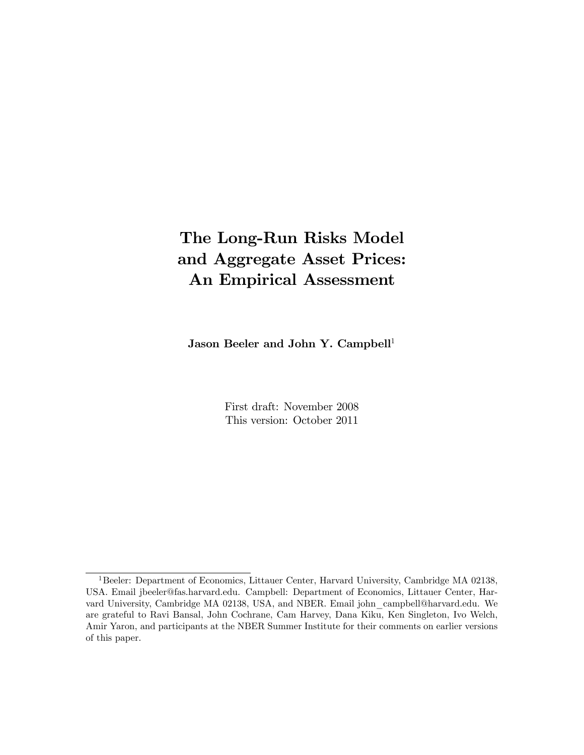# The Long-Run Risks Model and Aggregate Asset Prices: An Empirical Assessment

Jason Beeler and John Y. Campbell<sup>1</sup>

First draft: November 2008 This version: October 2011

<sup>&</sup>lt;sup>1</sup>Beeler: Department of Economics, Littauer Center, Harvard University, Cambridge MA 02138, USA. Email jbeeler@fas.harvard.edu. Campbell: Department of Economics, Littauer Center, Harvard University, Cambridge MA 02138, USA, and NBER. Email john\_campbell@harvard.edu. We are grateful to Ravi Bansal, John Cochrane, Cam Harvey, Dana Kiku, Ken Singleton, Ivo Welch, Amir Yaron, and participants at the NBER Summer Institute for their comments on earlier versions of this paper.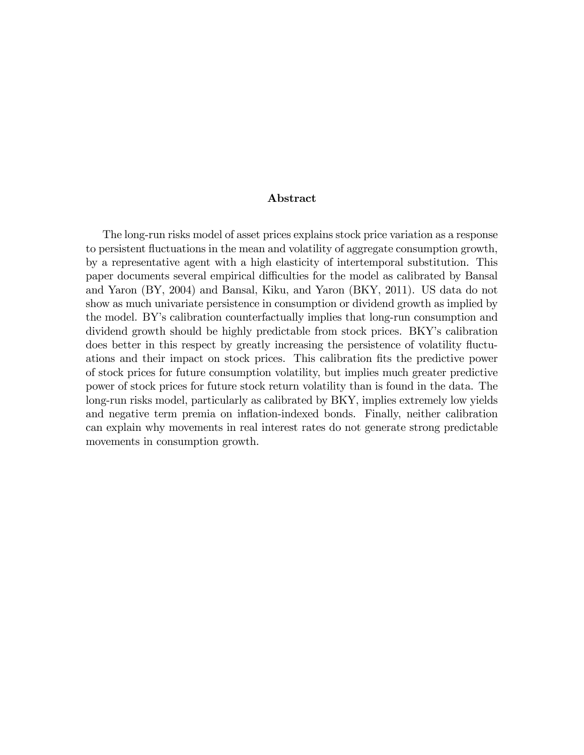#### Abstract

The long-run risks model of asset prices explains stock price variation as a response to persistent fluctuations in the mean and volatility of aggregate consumption growth, by a representative agent with a high elasticity of intertemporal substitution. This paper documents several empirical difficulties for the model as calibrated by Bansal and Yaron (BY, 2004) and Bansal, Kiku, and Yaron (BKY, 2011). US data do not show as much univariate persistence in consumption or dividend growth as implied by the model. BYís calibration counterfactually implies that long-run consumption and dividend growth should be highly predictable from stock prices. BKY's calibration does better in this respect by greatly increasing the persistence of volatility fluctuations and their impact on stock prices. This calibration Öts the predictive power of stock prices for future consumption volatility, but implies much greater predictive power of stock prices for future stock return volatility than is found in the data. The long-run risks model, particularly as calibrated by BKY, implies extremely low yields and negative term premia on inflation-indexed bonds. Finally, neither calibration can explain why movements in real interest rates do not generate strong predictable movements in consumption growth.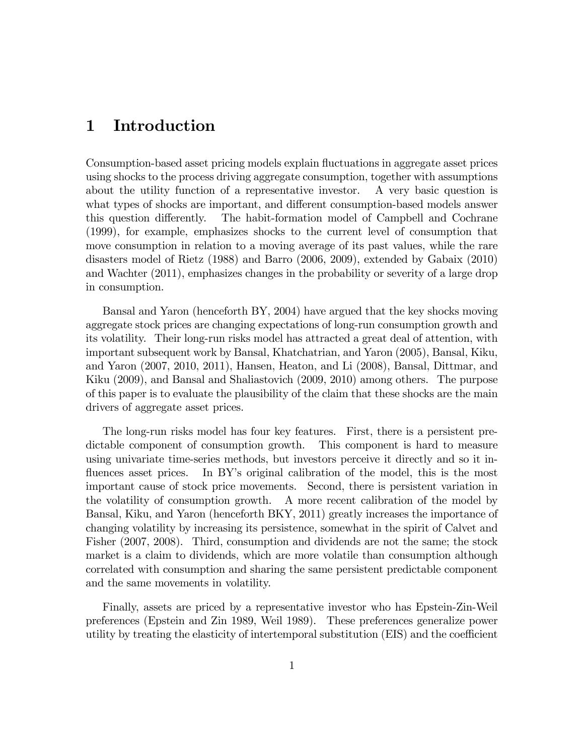## 1 Introduction

Consumption-based asset pricing models explain fluctuations in aggregate asset prices using shocks to the process driving aggregate consumption, together with assumptions about the utility function of a representative investor. A very basic question is what types of shocks are important, and different consumption-based models answer this question differently. The habit-formation model of Campbell and Cochrane (1999), for example, emphasizes shocks to the current level of consumption that move consumption in relation to a moving average of its past values, while the rare disasters model of Rietz (1988) and Barro (2006, 2009), extended by Gabaix (2010) and Wachter (2011), emphasizes changes in the probability or severity of a large drop in consumption.

Bansal and Yaron (henceforth BY, 2004) have argued that the key shocks moving aggregate stock prices are changing expectations of long-run consumption growth and its volatility. Their long-run risks model has attracted a great deal of attention, with important subsequent work by Bansal, Khatchatrian, and Yaron (2005), Bansal, Kiku, and Yaron (2007, 2010, 2011), Hansen, Heaton, and Li (2008), Bansal, Dittmar, and Kiku (2009), and Bansal and Shaliastovich (2009, 2010) among others. The purpose of this paper is to evaluate the plausibility of the claim that these shocks are the main drivers of aggregate asset prices.

The long-run risks model has four key features. First, there is a persistent predictable component of consumption growth. This component is hard to measure using univariate time-series methods, but investors perceive it directly and so it influences asset prices. In BY's original calibration of the model, this is the most important cause of stock price movements. Second, there is persistent variation in the volatility of consumption growth. A more recent calibration of the model by Bansal, Kiku, and Yaron (henceforth BKY, 2011) greatly increases the importance of changing volatility by increasing its persistence, somewhat in the spirit of Calvet and Fisher (2007, 2008). Third, consumption and dividends are not the same; the stock market is a claim to dividends, which are more volatile than consumption although correlated with consumption and sharing the same persistent predictable component and the same movements in volatility.

Finally, assets are priced by a representative investor who has Epstein-Zin-Weil preferences (Epstein and Zin 1989, Weil 1989). These preferences generalize power utility by treating the elasticity of intertemporal substitution  $(EIS)$  and the coefficient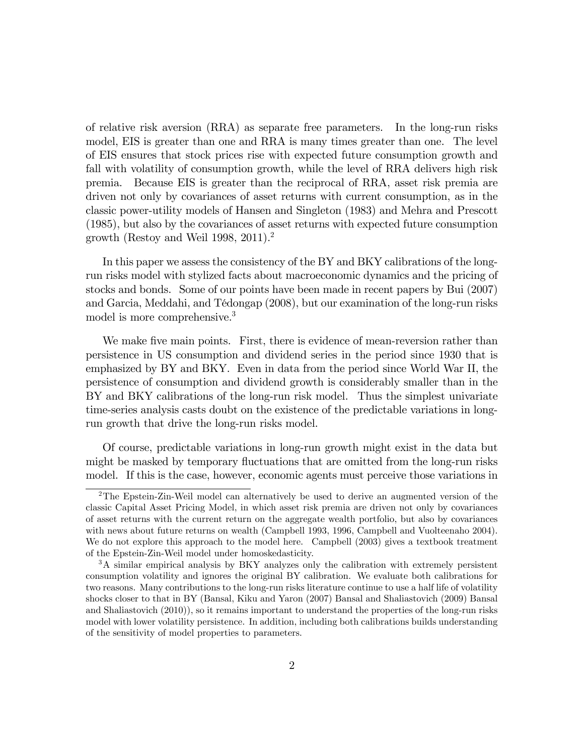of relative risk aversion (RRA) as separate free parameters. In the long-run risks model, EIS is greater than one and RRA is many times greater than one. The level of EIS ensures that stock prices rise with expected future consumption growth and fall with volatility of consumption growth, while the level of RRA delivers high risk premia. Because EIS is greater than the reciprocal of RRA, asset risk premia are driven not only by covariances of asset returns with current consumption, as in the classic power-utility models of Hansen and Singleton (1983) and Mehra and Prescott (1985), but also by the covariances of asset returns with expected future consumption growth (Restoy and Weil 1998, 2011).<sup>2</sup>

In this paper we assess the consistency of the BY and BKY calibrations of the longrun risks model with stylized facts about macroeconomic dynamics and the pricing of stocks and bonds. Some of our points have been made in recent papers by Bui (2007) and Garcia, Meddahi, and TÈdongap (2008), but our examination of the long-run risks model is more comprehensive.<sup>3</sup>

We make five main points. First, there is evidence of mean-reversion rather than persistence in US consumption and dividend series in the period since 1930 that is emphasized by BY and BKY. Even in data from the period since World War II, the persistence of consumption and dividend growth is considerably smaller than in the BY and BKY calibrations of the long-run risk model. Thus the simplest univariate time-series analysis casts doubt on the existence of the predictable variations in longrun growth that drive the long-run risks model.

Of course, predictable variations in long-run growth might exist in the data but might be masked by temporary fluctuations that are omitted from the long-run risks model. If this is the case, however, economic agents must perceive those variations in

<sup>2</sup>The Epstein-Zin-Weil model can alternatively be used to derive an augmented version of the classic Capital Asset Pricing Model, in which asset risk premia are driven not only by covariances of asset returns with the current return on the aggregate wealth portfolio, but also by covariances with news about future returns on wealth (Campbell 1993, 1996, Campbell and Vuolteenaho 2004). We do not explore this approach to the model here. Campbell  $(2003)$  gives a textbook treatment of the Epstein-Zin-Weil model under homoskedasticity.

<sup>3</sup>A similar empirical analysis by BKY analyzes only the calibration with extremely persistent consumption volatility and ignores the original BY calibration. We evaluate both calibrations for two reasons. Many contributions to the long-run risks literature continue to use a half life of volatility shocks closer to that in BY (Bansal, Kiku and Yaron (2007) Bansal and Shaliastovich (2009) Bansal and Shaliastovich (2010)), so it remains important to understand the properties of the long-run risks model with lower volatility persistence. In addition, including both calibrations builds understanding of the sensitivity of model properties to parameters.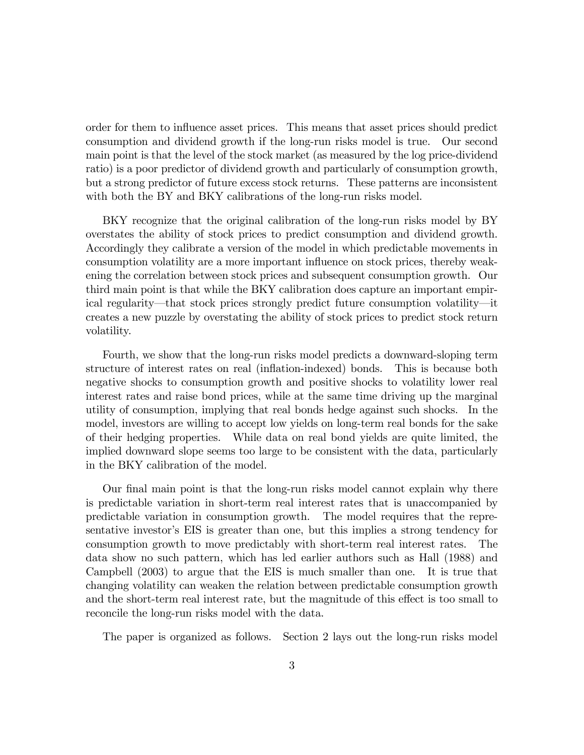order for them to influence asset prices. This means that asset prices should predict consumption and dividend growth if the long-run risks model is true. Our second main point is that the level of the stock market (as measured by the log price-dividend ratio) is a poor predictor of dividend growth and particularly of consumption growth, but a strong predictor of future excess stock returns. These patterns are inconsistent with both the BY and BKY calibrations of the long-run risks model.

BKY recognize that the original calibration of the long-run risks model by BY overstates the ability of stock prices to predict consumption and dividend growth. Accordingly they calibrate a version of the model in which predictable movements in consumption volatility are a more important influence on stock prices, thereby weakening the correlation between stock prices and subsequent consumption growth. Our third main point is that while the BKY calibration does capture an important empirical regularity—that stock prices strongly predict future consumption volatility—it creates a new puzzle by overstating the ability of stock prices to predict stock return volatility.

Fourth, we show that the long-run risks model predicts a downward-sloping term structure of interest rates on real (ináation-indexed) bonds. This is because both negative shocks to consumption growth and positive shocks to volatility lower real interest rates and raise bond prices, while at the same time driving up the marginal utility of consumption, implying that real bonds hedge against such shocks. In the model, investors are willing to accept low yields on long-term real bonds for the sake of their hedging properties. While data on real bond yields are quite limited, the implied downward slope seems too large to be consistent with the data, particularly in the BKY calibration of the model.

Our final main point is that the long-run risks model cannot explain why there is predictable variation in short-term real interest rates that is unaccompanied by predictable variation in consumption growth. The model requires that the representative investor's EIS is greater than one, but this implies a strong tendency for consumption growth to move predictably with short-term real interest rates. The data show no such pattern, which has led earlier authors such as Hall (1988) and Campbell (2003) to argue that the EIS is much smaller than one. It is true that changing volatility can weaken the relation between predictable consumption growth and the short-term real interest rate, but the magnitude of this effect is too small to reconcile the long-run risks model with the data.

The paper is organized as follows. Section 2 lays out the long-run risks model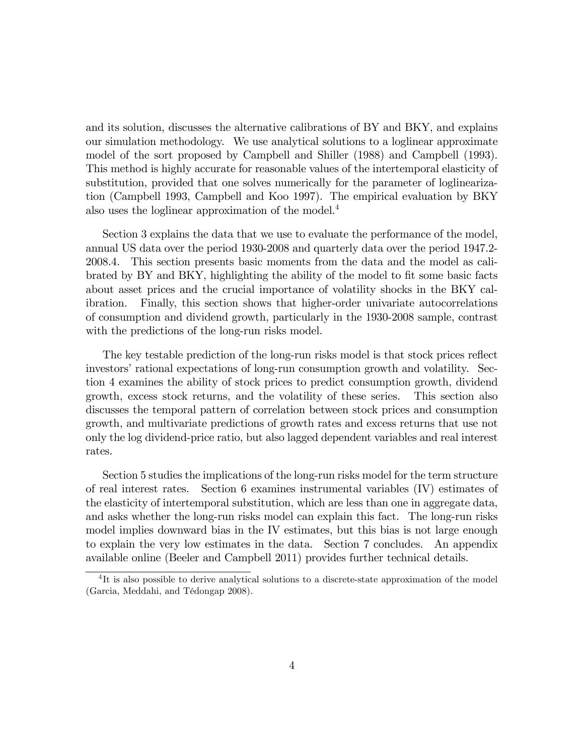and its solution, discusses the alternative calibrations of BY and BKY, and explains our simulation methodology. We use analytical solutions to a loglinear approximate model of the sort proposed by Campbell and Shiller (1988) and Campbell (1993). This method is highly accurate for reasonable values of the intertemporal elasticity of substitution, provided that one solves numerically for the parameter of loglinearization (Campbell 1993, Campbell and Koo 1997). The empirical evaluation by BKY also uses the loglinear approximation of the model.<sup>4</sup>

Section 3 explains the data that we use to evaluate the performance of the model, annual US data over the period 1930-2008 and quarterly data over the period 1947.2- 2008.4. This section presents basic moments from the data and the model as calibrated by BY and BKY, highlighting the ability of the model to fit some basic facts about asset prices and the crucial importance of volatility shocks in the BKY calibration. Finally, this section shows that higher-order univariate autocorrelations of consumption and dividend growth, particularly in the 1930-2008 sample, contrast with the predictions of the long-run risks model.

The key testable prediction of the long-run risks model is that stock prices reflect investors' rational expectations of long-run consumption growth and volatility. Section 4 examines the ability of stock prices to predict consumption growth, dividend growth, excess stock returns, and the volatility of these series. This section also discusses the temporal pattern of correlation between stock prices and consumption growth, and multivariate predictions of growth rates and excess returns that use not only the log dividend-price ratio, but also lagged dependent variables and real interest rates.

Section 5 studies the implications of the long-run risks model for the term structure of real interest rates. Section 6 examines instrumental variables (IV) estimates of the elasticity of intertemporal substitution, which are less than one in aggregate data, and asks whether the long-run risks model can explain this fact. The long-run risks model implies downward bias in the IV estimates, but this bias is not large enough to explain the very low estimates in the data. Section 7 concludes. An appendix available online (Beeler and Campbell 2011) provides further technical details.

<sup>&</sup>lt;sup>4</sup>It is also possible to derive analytical solutions to a discrete-state approximation of the model (Garcia, Meddahi, and Tédongap 2008).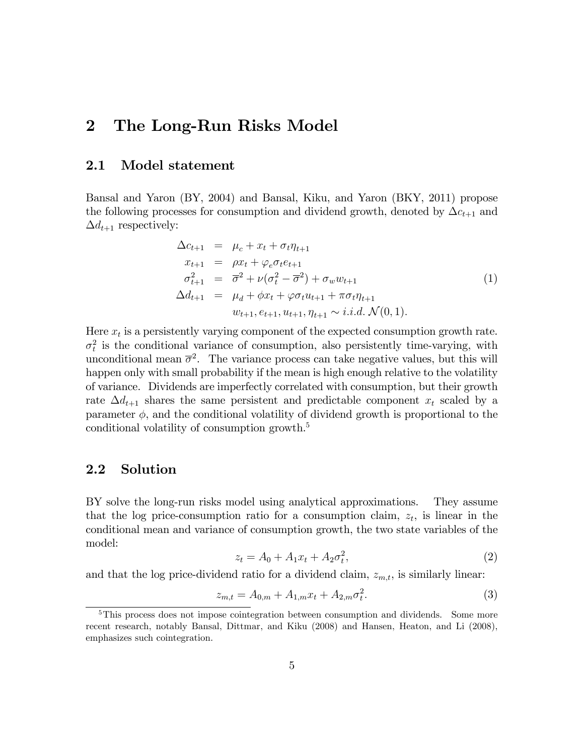## 2 The Long-Run Risks Model

#### 2.1 Model statement

Bansal and Yaron (BY, 2004) and Bansal, Kiku, and Yaron (BKY, 2011) propose the following processes for consumption and dividend growth, denoted by  $\Delta c_{t+1}$  and  $\Delta d_{t+1}$  respectively:

$$
\Delta c_{t+1} = \mu_c + x_t + \sigma_t \eta_{t+1} \nx_{t+1} = \rho x_t + \varphi_e \sigma_t e_{t+1} \n\sigma_{t+1}^2 = \overline{\sigma}^2 + \nu (\sigma_t^2 - \overline{\sigma}^2) + \sigma_w w_{t+1} \n\Delta d_{t+1} = \mu_d + \phi x_t + \varphi \sigma_t u_{t+1} + \pi \sigma_t \eta_{t+1} \nw_{t+1}, e_{t+1}, u_{t+1}, \eta_{t+1} \sim i.i.d. \mathcal{N}(0, 1).
$$
\n(1)

Here  $x_t$  is a persistently varying component of the expected consumption growth rate.  $\sigma_t^2$  is the conditional variance of consumption, also persistently time-varying, with unconditional mean  $\bar{\sigma}^2$ . The variance process can take negative values, but this will happen only with small probability if the mean is high enough relative to the volatility of variance. Dividends are imperfectly correlated with consumption, but their growth rate  $\Delta d_{t+1}$  shares the same persistent and predictable component  $x_t$  scaled by a parameter  $\phi$ , and the conditional volatility of dividend growth is proportional to the conditional volatility of consumption growth.<sup>5</sup>

#### 2.2 Solution

BY solve the long-run risks model using analytical approximations. They assume that the log price-consumption ratio for a consumption claim,  $z_t$ , is linear in the conditional mean and variance of consumption growth, the two state variables of the model:

$$
z_t = A_0 + A_1 x_t + A_2 \sigma_t^2, \tag{2}
$$

and that the log price-dividend ratio for a dividend claim,  $z_{m,t}$ , is similarly linear:

$$
z_{m,t} = A_{0,m} + A_{1,m} x_t + A_{2,m} \sigma_t^2. \tag{3}
$$

<sup>&</sup>lt;sup>5</sup>This process does not impose cointegration between consumption and dividends. Some more recent research, notably Bansal, Dittmar, and Kiku (2008) and Hansen, Heaton, and Li (2008), emphasizes such cointegration.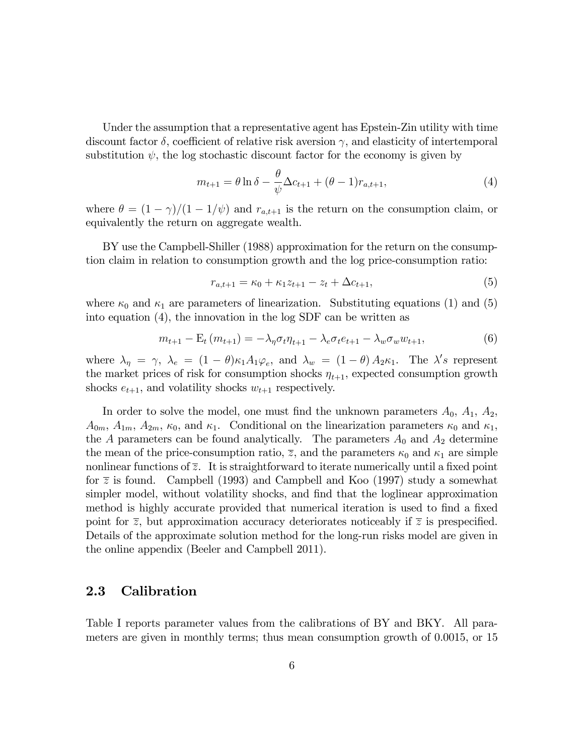Under the assumption that a representative agent has Epstein-Zin utility with time discount factor  $\delta$ , coefficient of relative risk aversion  $\gamma$ , and elasticity of intertemporal substitution  $\psi$ , the log stochastic discount factor for the economy is given by

$$
m_{t+1} = \theta \ln \delta - \frac{\theta}{\psi} \Delta c_{t+1} + (\theta - 1) r_{a,t+1},
$$
\n(4)

where  $\theta = (1 - \gamma)/(1 - 1/\psi)$  and  $r_{a,t+1}$  is the return on the consumption claim, or equivalently the return on aggregate wealth.

BY use the Campbell-Shiller (1988) approximation for the return on the consumption claim in relation to consumption growth and the log price-consumption ratio:

$$
r_{a,t+1} = \kappa_0 + \kappa_1 z_{t+1} - z_t + \Delta c_{t+1},\tag{5}
$$

where  $\kappa_0$  and  $\kappa_1$  are parameters of linearization. Substituting equations (1) and (5) into equation (4), the innovation in the log SDF can be written as

$$
m_{t+1} - \mathcal{E}_t(m_{t+1}) = -\lambda_{\eta} \sigma_t \eta_{t+1} - \lambda_e \sigma_t e_{t+1} - \lambda_w \sigma_w w_{t+1},
$$
\n(6)

where  $\lambda_{\eta} = \gamma$ ,  $\lambda_e = (1 - \theta)\kappa_1 A_1 \varphi_e$ , and  $\lambda_w = (1 - \theta) A_2 \kappa_1$ . The  $\lambda's$  represent the market prices of risk for consumption shocks  $\eta_{t+1}$ , expected consumption growth shocks  $e_{t+1}$ , and volatility shocks  $w_{t+1}$  respectively.

In order to solve the model, one must find the unknown parameters  $A_0$ ,  $A_1$ ,  $A_2$ ,  $A_{0m}$ ,  $A_{1m}$ ,  $A_{2m}$ ,  $\kappa_0$ , and  $\kappa_1$ . Conditional on the linearization parameters  $\kappa_0$  and  $\kappa_1$ , the A parameters can be found analytically. The parameters  $A_0$  and  $A_2$  determine the mean of the price-consumption ratio,  $\overline{z}$ , and the parameters  $\kappa_0$  and  $\kappa_1$  are simple nonlinear functions of  $\overline{z}$ . It is straightforward to iterate numerically until a fixed point for  $\overline{z}$  is found. Campbell (1993) and Campbell and Koo (1997) study a somewhat simpler model, without volatility shocks, and find that the loglinear approximation method is highly accurate provided that numerical iteration is used to find a fixed point for  $\overline{z}$ , but approximation accuracy deteriorates noticeably if  $\overline{z}$  is prespecified. Details of the approximate solution method for the long-run risks model are given in the online appendix (Beeler and Campbell 2011).

#### 2.3 Calibration

Table I reports parameter values from the calibrations of BY and BKY. All parameters are given in monthly terms; thus mean consumption growth of 0.0015, or 15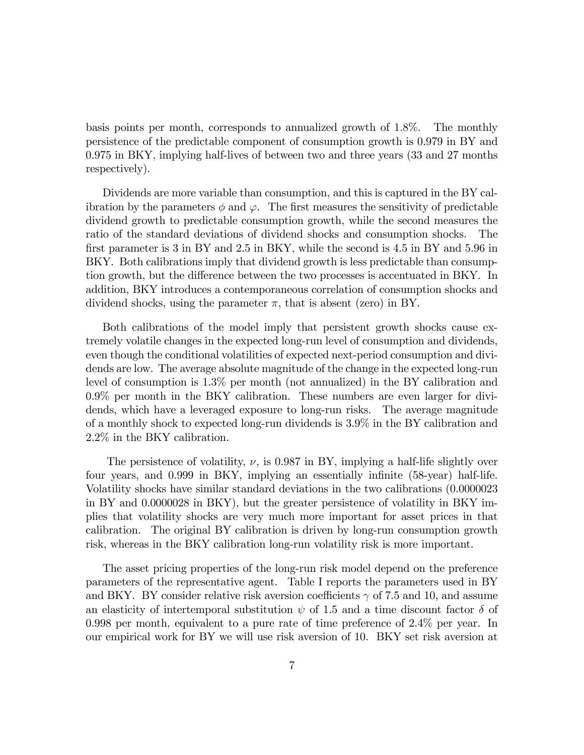basis points per month, corresponds to annualized growth of 1.8%. The monthly persistence of the predictable component of consumption growth is 0.979 in BY and 0.975 in BKY, implying half-lives of between two and three years (33 and 27 months respectively).

Dividends are more variable than consumption, and this is captured in the BY calibration by the parameters  $\phi$  and  $\varphi$ . The first measures the sensitivity of predictable dividend growth to predictable consumption growth, while the second measures the ratio of the standard deviations of dividend shocks and consumption shocks. The first parameter is 3 in BY and 2.5 in BKY, while the second is 4.5 in BY and 5.96 in BKY. Both calibrations imply that dividend growth is less predictable than consumption growth, but the difference between the two processes is accentuated in BKY. In addition, BKY introduces a contemporaneous correlation of consumption shocks and dividend shocks, using the parameter  $\pi$ , that is absent (zero) in BY.

Both calibrations of the model imply that persistent growth shocks cause extremely volatile changes in the expected long-run level of consumption and dividends, even though the conditional volatilities of expected next-period consumption and dividends are low. The average absolute magnitude of the change in the expected long-run level of consumption is 1.3% per month (not annualized) in the BY calibration and 0.9% per month in the BKY calibration. These numbers are even larger for dividends, which have a leveraged exposure to long-run risks. The average magnitude of a monthly shock to expected long-run dividends is 3.9% in the BY calibration and 2.2% in the BKY calibration.

The persistence of volatility,  $\nu$ , is 0.987 in BY, implying a half-life slightly over four years, and 0.999 in BKY, implying an essentially infinite (58-year) half-life. Volatility shocks have similar standard deviations in the two calibrations (0.0000023 in BY and 0.0000028 in BKY), but the greater persistence of volatility in BKY implies that volatility shocks are very much more important for asset prices in that calibration. The original BY calibration is driven by long-run consumption growth risk, whereas in the BKY calibration long-run volatility risk is more important.

The asset pricing properties of the long-run risk model depend on the preference parameters of the representative agent. Table I reports the parameters used in BY and BKY. BY consider relative risk aversion coefficients  $\gamma$  of 7.5 and 10, and assume an elasticity of intertemporal substitution  $\psi$  of 1.5 and a time discount factor  $\delta$  of 0.998 per month, equivalent to a pure rate of time preference of 2.4% per year. In our empirical work for BY we will use risk aversion of 10. BKY set risk aversion at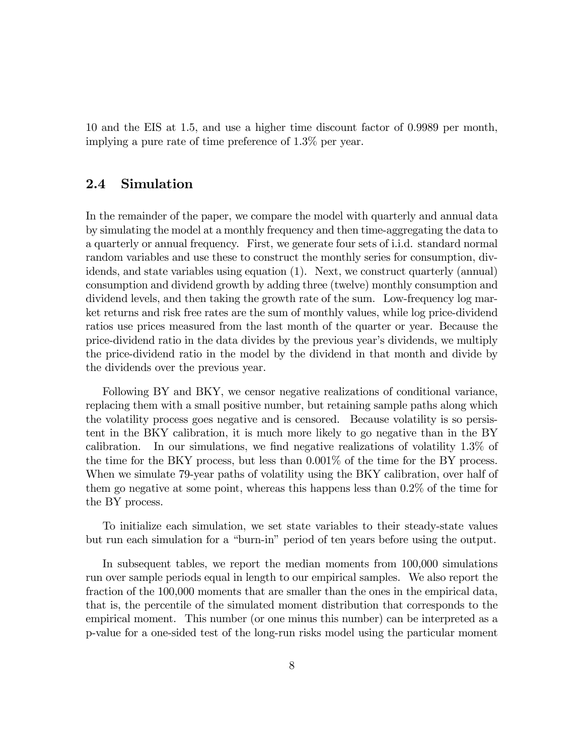10 and the EIS at 1.5, and use a higher time discount factor of 0.9989 per month, implying a pure rate of time preference of 1.3% per year.

#### 2.4 Simulation

In the remainder of the paper, we compare the model with quarterly and annual data by simulating the model at a monthly frequency and then time-aggregating the data to a quarterly or annual frequency. First, we generate four sets of i.i.d. standard normal random variables and use these to construct the monthly series for consumption, dividends, and state variables using equation (1). Next, we construct quarterly (annual) consumption and dividend growth by adding three (twelve) monthly consumption and dividend levels, and then taking the growth rate of the sum. Low-frequency log market returns and risk free rates are the sum of monthly values, while log price-dividend ratios use prices measured from the last month of the quarter or year. Because the price-dividend ratio in the data divides by the previous yearís dividends, we multiply the price-dividend ratio in the model by the dividend in that month and divide by the dividends over the previous year.

Following BY and BKY, we censor negative realizations of conditional variance, replacing them with a small positive number, but retaining sample paths along which the volatility process goes negative and is censored. Because volatility is so persistent in the BKY calibration, it is much more likely to go negative than in the BY calibration. In our simulations, we find negative realizations of volatility  $1.3\%$  of the time for the BKY process, but less than 0.001% of the time for the BY process. When we simulate 79-year paths of volatility using the BKY calibration, over half of them go negative at some point, whereas this happens less than 0.2% of the time for the BY process.

To initialize each simulation, we set state variables to their steady-state values but run each simulation for a "burn-in" period of ten years before using the output.

In subsequent tables, we report the median moments from 100,000 simulations run over sample periods equal in length to our empirical samples. We also report the fraction of the 100,000 moments that are smaller than the ones in the empirical data, that is, the percentile of the simulated moment distribution that corresponds to the empirical moment. This number (or one minus this number) can be interpreted as a p-value for a one-sided test of the long-run risks model using the particular moment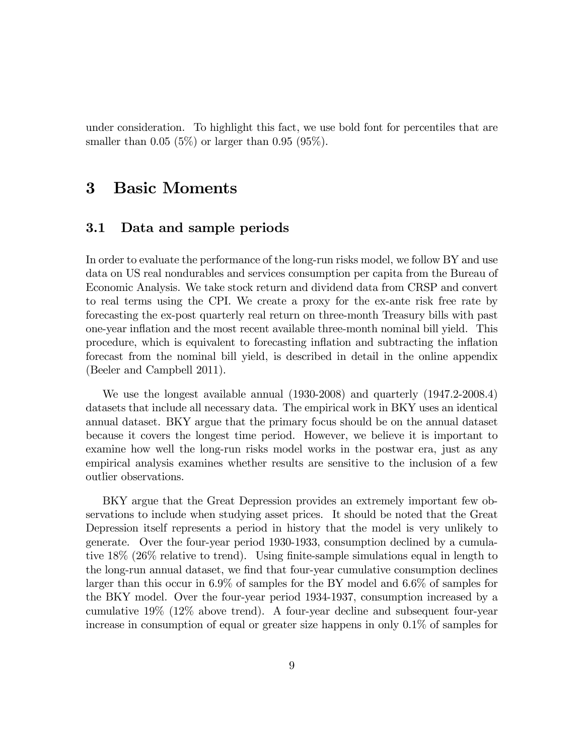under consideration. To highlight this fact, we use bold font for percentiles that are smaller than  $0.05$  (5%) or larger than  $0.95$  (95%).

### 3 Basic Moments

### 3.1 Data and sample periods

In order to evaluate the performance of the long-run risks model, we follow BY and use data on US real nondurables and services consumption per capita from the Bureau of Economic Analysis. We take stock return and dividend data from CRSP and convert to real terms using the CPI. We create a proxy for the ex-ante risk free rate by forecasting the ex-post quarterly real return on three-month Treasury bills with past one-year inflation and the most recent available three-month nominal bill yield. This procedure, which is equivalent to forecasting ináation and subtracting the ináation forecast from the nominal bill yield, is described in detail in the online appendix (Beeler and Campbell 2011).

We use the longest available annual (1930-2008) and quarterly (1947.2-2008.4) datasets that include all necessary data. The empirical work in BKY uses an identical annual dataset. BKY argue that the primary focus should be on the annual dataset because it covers the longest time period. However, we believe it is important to examine how well the long-run risks model works in the postwar era, just as any empirical analysis examines whether results are sensitive to the inclusion of a few outlier observations.

BKY argue that the Great Depression provides an extremely important few observations to include when studying asset prices. It should be noted that the Great Depression itself represents a period in history that the model is very unlikely to generate. Over the four-year period 1930-1933, consumption declined by a cumulative  $18\%$  ( $26\%$  relative to trend). Using finite-sample simulations equal in length to the long-run annual dataset, we find that four-year cumulative consumption declines larger than this occur in 6.9% of samples for the BY model and 6.6% of samples for the BKY model. Over the four-year period 1934-1937, consumption increased by a cumulative 19% (12% above trend). A four-year decline and subsequent four-year increase in consumption of equal or greater size happens in only 0.1% of samples for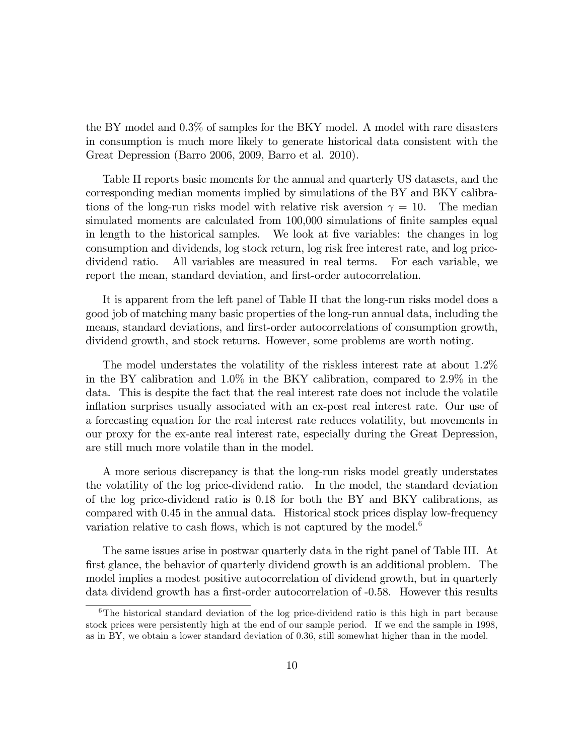the BY model and 0.3% of samples for the BKY model. A model with rare disasters in consumption is much more likely to generate historical data consistent with the Great Depression (Barro 2006, 2009, Barro et al. 2010).

Table II reports basic moments for the annual and quarterly US datasets, and the corresponding median moments implied by simulations of the BY and BKY calibrations of the long-run risks model with relative risk aversion  $\gamma = 10$ . The median simulated moments are calculated from 100,000 simulations of finite samples equal in length to the historical samples. We look at five variables: the changes in log consumption and dividends, log stock return, log risk free interest rate, and log pricedividend ratio. All variables are measured in real terms. For each variable, we report the mean, standard deviation, and first-order autocorrelation.

It is apparent from the left panel of Table II that the long-run risks model does a good job of matching many basic properties of the long-run annual data, including the means, standard deviations, and first-order autocorrelations of consumption growth, dividend growth, and stock returns. However, some problems are worth noting.

The model understates the volatility of the riskless interest rate at about 1.2% in the BY calibration and 1.0% in the BKY calibration, compared to 2.9% in the data. This is despite the fact that the real interest rate does not include the volatile inflation surprises usually associated with an ex-post real interest rate. Our use of a forecasting equation for the real interest rate reduces volatility, but movements in our proxy for the ex-ante real interest rate, especially during the Great Depression, are still much more volatile than in the model.

A more serious discrepancy is that the long-run risks model greatly understates the volatility of the log price-dividend ratio. In the model, the standard deviation of the log price-dividend ratio is 0.18 for both the BY and BKY calibrations, as compared with 0.45 in the annual data. Historical stock prices display low-frequency variation relative to cash flows, which is not captured by the model.<sup>6</sup>

The same issues arise in postwar quarterly data in the right panel of Table III. At first glance, the behavior of quarterly dividend growth is an additional problem. The model implies a modest positive autocorrelation of dividend growth, but in quarterly data dividend growth has a first-order autocorrelation of  $-0.58$ . However this results

 $6$ The historical standard deviation of the log price-dividend ratio is this high in part because stock prices were persistently high at the end of our sample period. If we end the sample in 1998, as in BY, we obtain a lower standard deviation of 0.36, still somewhat higher than in the model.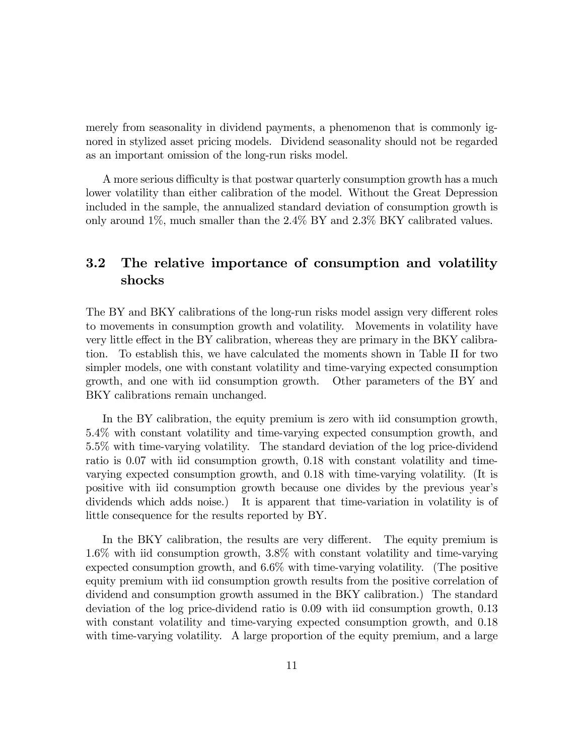merely from seasonality in dividend payments, a phenomenon that is commonly ignored in stylized asset pricing models. Dividend seasonality should not be regarded as an important omission of the long-run risks model.

A more serious difficulty is that postwar quarterly consumption growth has a much lower volatility than either calibration of the model. Without the Great Depression included in the sample, the annualized standard deviation of consumption growth is only around 1%, much smaller than the 2.4% BY and 2.3% BKY calibrated values.

### 3.2 The relative importance of consumption and volatility shocks

The BY and BKY calibrations of the long-run risks model assign very different roles to movements in consumption growth and volatility. Movements in volatility have very little effect in the BY calibration, whereas they are primary in the BKY calibration. To establish this, we have calculated the moments shown in Table II for two simpler models, one with constant volatility and time-varying expected consumption growth, and one with iid consumption growth. Other parameters of the BY and BKY calibrations remain unchanged.

In the BY calibration, the equity premium is zero with iid consumption growth, 5.4% with constant volatility and time-varying expected consumption growth, and 5.5% with time-varying volatility. The standard deviation of the log price-dividend ratio is 0.07 with iid consumption growth, 0.18 with constant volatility and timevarying expected consumption growth, and 0.18 with time-varying volatility. (It is positive with iid consumption growth because one divides by the previous yearís dividends which adds noise.) It is apparent that time-variation in volatility is of little consequence for the results reported by BY.

In the BKY calibration, the results are very different. The equity premium is 1.6% with iid consumption growth, 3.8% with constant volatility and time-varying expected consumption growth, and 6.6% with time-varying volatility. (The positive equity premium with iid consumption growth results from the positive correlation of dividend and consumption growth assumed in the BKY calibration.) The standard deviation of the log price-dividend ratio is 0.09 with iid consumption growth, 0.13 with constant volatility and time-varying expected consumption growth, and 0.18 with time-varying volatility. A large proportion of the equity premium, and a large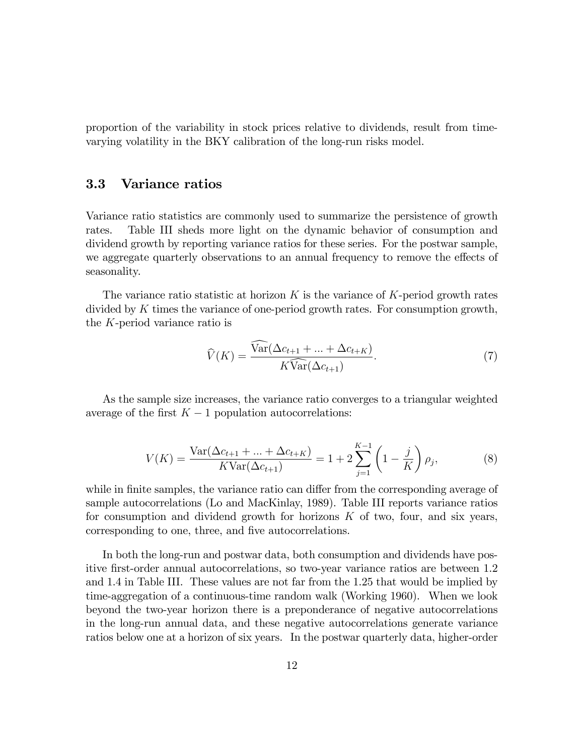proportion of the variability in stock prices relative to dividends, result from timevarying volatility in the BKY calibration of the long-run risks model.

### 3.3 Variance ratios

Variance ratio statistics are commonly used to summarize the persistence of growth rates. Table III sheds more light on the dynamic behavior of consumption and dividend growth by reporting variance ratios for these series. For the postwar sample, we aggregate quarterly observations to an annual frequency to remove the effects of seasonality.

The variance ratio statistic at horizon  $K$  is the variance of  $K$ -period growth rates divided by K times the variance of one-period growth rates. For consumption growth, the K-period variance ratio is

$$
\widehat{V}(K) = \frac{\widehat{\text{Var}}(\Delta c_{t+1} + \dots + \Delta c_{t+K})}{K\widehat{\text{Var}}(\Delta c_{t+1})}.
$$
\n(7)

As the sample size increases, the variance ratio converges to a triangular weighted average of the first  $K - 1$  population autocorrelations:

$$
V(K) = \frac{\text{Var}(\Delta c_{t+1} + \dots + \Delta c_{t+K})}{K\text{Var}(\Delta c_{t+1})} = 1 + 2\sum_{j=1}^{K-1} \left(1 - \frac{j}{K}\right)\rho_j,\tag{8}
$$

while in finite samples, the variance ratio can differ from the corresponding average of sample autocorrelations (Lo and MacKinlay, 1989). Table III reports variance ratios for consumption and dividend growth for horizons  $K$  of two, four, and six years, corresponding to one, three, and five autocorrelations.

In both the long-run and postwar data, both consumption and dividends have positive Örst-order annual autocorrelations, so two-year variance ratios are between 1.2 and 1.4 in Table III. These values are not far from the 1.25 that would be implied by time-aggregation of a continuous-time random walk (Working 1960). When we look beyond the two-year horizon there is a preponderance of negative autocorrelations in the long-run annual data, and these negative autocorrelations generate variance ratios below one at a horizon of six years. In the postwar quarterly data, higher-order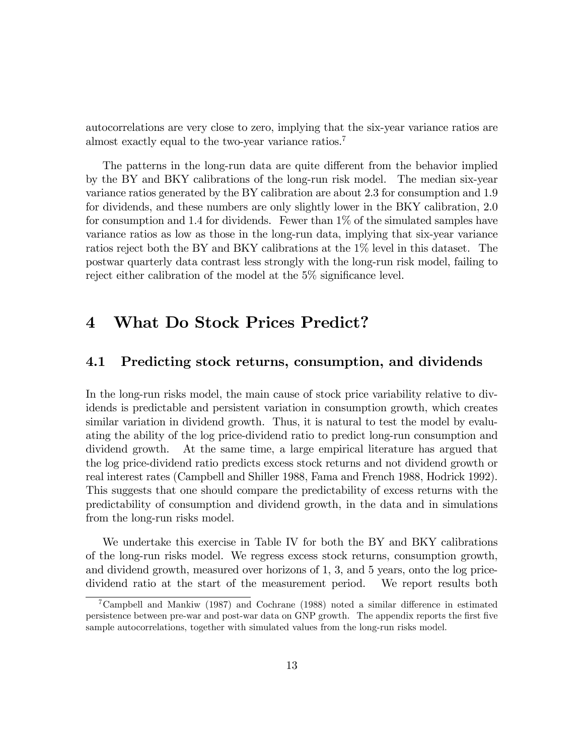autocorrelations are very close to zero, implying that the six-year variance ratios are almost exactly equal to the two-year variance ratios.<sup>7</sup>

The patterns in the long-run data are quite different from the behavior implied by the BY and BKY calibrations of the long-run risk model. The median six-year variance ratios generated by the BY calibration are about 2.3 for consumption and 1.9 for dividends, and these numbers are only slightly lower in the BKY calibration, 2.0 for consumption and 1.4 for dividends. Fewer than  $1\%$  of the simulated samples have variance ratios as low as those in the long-run data, implying that six-year variance ratios reject both the BY and BKY calibrations at the 1% level in this dataset. The postwar quarterly data contrast less strongly with the long-run risk model, failing to reject either calibration of the model at the  $5\%$  significance level.

# 4 What Do Stock Prices Predict?

### 4.1 Predicting stock returns, consumption, and dividends

In the long-run risks model, the main cause of stock price variability relative to dividends is predictable and persistent variation in consumption growth, which creates similar variation in dividend growth. Thus, it is natural to test the model by evaluating the ability of the log price-dividend ratio to predict long-run consumption and dividend growth. At the same time, a large empirical literature has argued that the log price-dividend ratio predicts excess stock returns and not dividend growth or real interest rates (Campbell and Shiller 1988, Fama and French 1988, Hodrick 1992). This suggests that one should compare the predictability of excess returns with the predictability of consumption and dividend growth, in the data and in simulations from the long-run risks model.

We undertake this exercise in Table IV for both the BY and BKY calibrations of the long-run risks model. We regress excess stock returns, consumption growth, and dividend growth, measured over horizons of 1, 3, and 5 years, onto the log pricedividend ratio at the start of the measurement period. We report results both

<sup>&</sup>lt;sup>7</sup>Campbell and Mankiw (1987) and Cochrane (1988) noted a similar difference in estimated persistence between pre-war and post-war data on GNP growth. The appendix reports the first five sample autocorrelations, together with simulated values from the long-run risks model.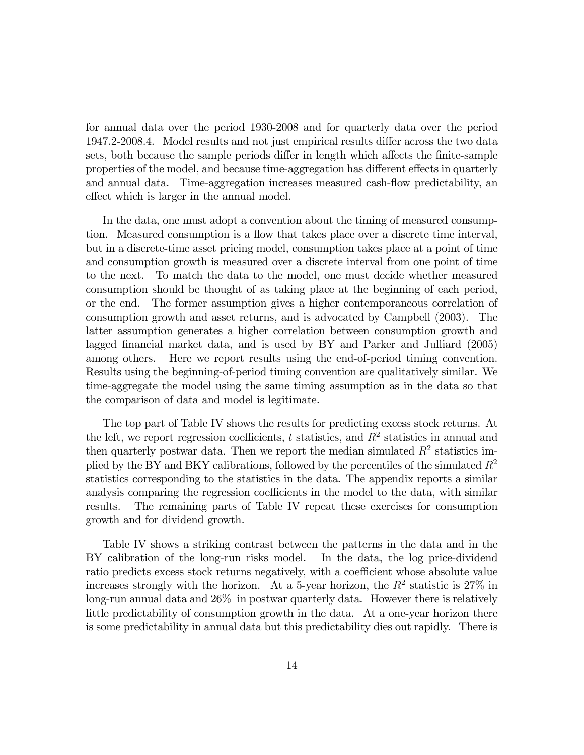for annual data over the period 1930-2008 and for quarterly data over the period 1947.2-2008.4. Model results and not just empirical results differ across the two data sets, both because the sample periods differ in length which affects the finite-sample properties of the model, and because time-aggregation has different effects in quarterly and annual data. Time-aggregation increases measured cash-flow predictability, an effect which is larger in the annual model.

In the data, one must adopt a convention about the timing of measured consumption. Measured consumption is a flow that takes place over a discrete time interval, but in a discrete-time asset pricing model, consumption takes place at a point of time and consumption growth is measured over a discrete interval from one point of time to the next. To match the data to the model, one must decide whether measured consumption should be thought of as taking place at the beginning of each period, or the end. The former assumption gives a higher contemporaneous correlation of consumption growth and asset returns, and is advocated by Campbell (2003). The latter assumption generates a higher correlation between consumption growth and lagged financial market data, and is used by BY and Parker and Julliard (2005) among others. Here we report results using the end-of-period timing convention. Results using the beginning-of-period timing convention are qualitatively similar. We time-aggregate the model using the same timing assumption as in the data so that the comparison of data and model is legitimate.

The top part of Table IV shows the results for predicting excess stock returns. At the left, we report regression coefficients, t statistics, and  $R^2$  statistics in annual and then quarterly postwar data. Then we report the median simulated  $R<sup>2</sup>$  statistics implied by the BY and BKY calibrations, followed by the percentiles of the simulated  $R^2$ statistics corresponding to the statistics in the data. The appendix reports a similar analysis comparing the regression coefficients in the model to the data, with similar results. The remaining parts of Table IV repeat these exercises for consumption growth and for dividend growth.

Table IV shows a striking contrast between the patterns in the data and in the BY calibration of the long-run risks model. In the data, the log price-dividend ratio predicts excess stock returns negatively, with a coefficient whose absolute value increases strongly with the horizon. At a 5-year horizon, the  $R^2$  statistic is 27% in long-run annual data and 26% in postwar quarterly data. However there is relatively little predictability of consumption growth in the data. At a one-year horizon there is some predictability in annual data but this predictability dies out rapidly. There is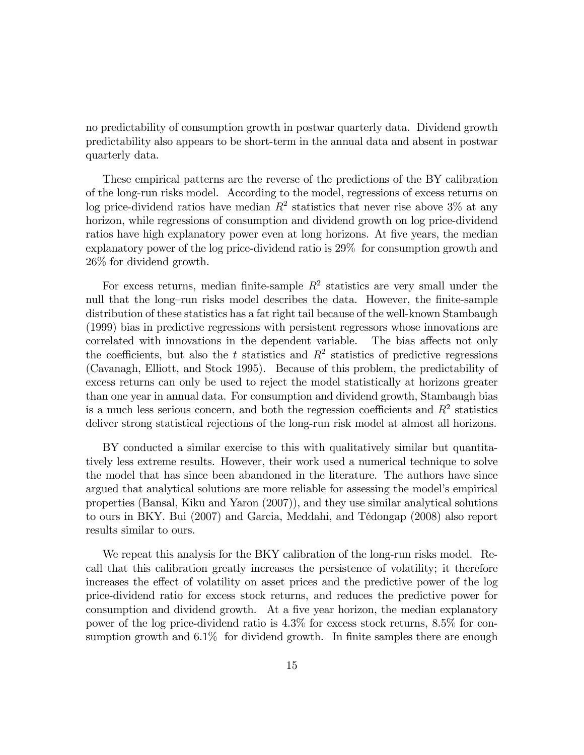no predictability of consumption growth in postwar quarterly data. Dividend growth predictability also appears to be short-term in the annual data and absent in postwar quarterly data.

These empirical patterns are the reverse of the predictions of the BY calibration of the long-run risks model. According to the model, regressions of excess returns on log price-dividend ratios have median  $R^2$  statistics that never rise above 3% at any horizon, while regressions of consumption and dividend growth on log price-dividend ratios have high explanatory power even at long horizons. At five years, the median explanatory power of the log price-dividend ratio is 29% for consumption growth and 26% for dividend growth.

For excess returns, median finite-sample  $R^2$  statistics are very small under the null that the long-run risks model describes the data. However, the finite-sample distribution of these statistics has a fat right tail because of the well-known Stambaugh (1999) bias in predictive regressions with persistent regressors whose innovations are correlated with innovations in the dependent variable. The bias affects not only the coefficients, but also the t statistics and  $R^2$  statistics of predictive regressions (Cavanagh, Elliott, and Stock 1995). Because of this problem, the predictability of excess returns can only be used to reject the model statistically at horizons greater than one year in annual data. For consumption and dividend growth, Stambaugh bias is a much less serious concern, and both the regression coefficients and  $R^2$  statistics deliver strong statistical rejections of the long-run risk model at almost all horizons.

BY conducted a similar exercise to this with qualitatively similar but quantitatively less extreme results. However, their work used a numerical technique to solve the model that has since been abandoned in the literature. The authors have since argued that analytical solutions are more reliable for assessing the model's empirical properties (Bansal, Kiku and Yaron (2007)), and they use similar analytical solutions to ours in BKY. Bui (2007) and Garcia, Meddahi, and TÈdongap (2008) also report results similar to ours.

We repeat this analysis for the BKY calibration of the long-run risks model. Recall that this calibration greatly increases the persistence of volatility; it therefore increases the effect of volatility on asset prices and the predictive power of the log price-dividend ratio for excess stock returns, and reduces the predictive power for consumption and dividend growth. At a five year horizon, the median explanatory power of the log price-dividend ratio is 4.3% for excess stock returns, 8.5% for consumption growth and  $6.1\%$  for dividend growth. In finite samples there are enough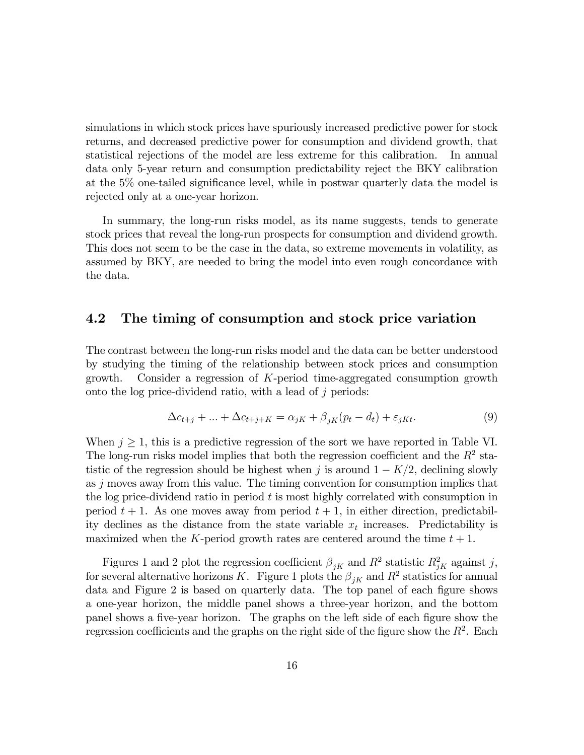simulations in which stock prices have spuriously increased predictive power for stock returns, and decreased predictive power for consumption and dividend growth, that statistical rejections of the model are less extreme for this calibration. In annual data only 5-year return and consumption predictability reject the BKY calibration at the 5% one-tailed significance level, while in postwar quarterly data the model is rejected only at a one-year horizon.

In summary, the long-run risks model, as its name suggests, tends to generate stock prices that reveal the long-run prospects for consumption and dividend growth. This does not seem to be the case in the data, so extreme movements in volatility, as assumed by BKY, are needed to bring the model into even rough concordance with the data.

#### 4.2 The timing of consumption and stock price variation

The contrast between the long-run risks model and the data can be better understood by studying the timing of the relationship between stock prices and consumption growth. Consider a regression of K-period time-aggregated consumption growth onto the log price-dividend ratio, with a lead of  $j$  periods:

$$
\Delta c_{t+j} + \ldots + \Delta c_{t+j+K} = \alpha_{jK} + \beta_{jK}(p_t - d_t) + \varepsilon_{jKt}.
$$
\n(9)

When  $j \geq 1$ , this is a predictive regression of the sort we have reported in Table VI. The long-run risks model implies that both the regression coefficient and the  $R^2$  statistic of the regression should be highest when j is around  $1 - K/2$ , declining slowly as j moves away from this value. The timing convention for consumption implies that the log price-dividend ratio in period  $t$  is most highly correlated with consumption in period  $t + 1$ . As one moves away from period  $t + 1$ , in either direction, predictability declines as the distance from the state variable  $x_t$  increases. Predictability is maximized when the K-period growth rates are centered around the time  $t + 1$ .

Figures 1 and 2 plot the regression coefficient  $\beta_{jK}$  and  $R^2$  statistic  $R_{jK}^2$  against j, for several alternative horizons K. Figure 1 plots the  $\beta_{jK}$  and  $R^2$  statistics for annual data and Figure 2 is based on quarterly data. The top panel of each figure shows a one-year horizon, the middle panel shows a three-year horizon, and the bottom panel shows a five-year horizon. The graphs on the left side of each figure show the regression coefficients and the graphs on the right side of the figure show the  $R^2$ . Each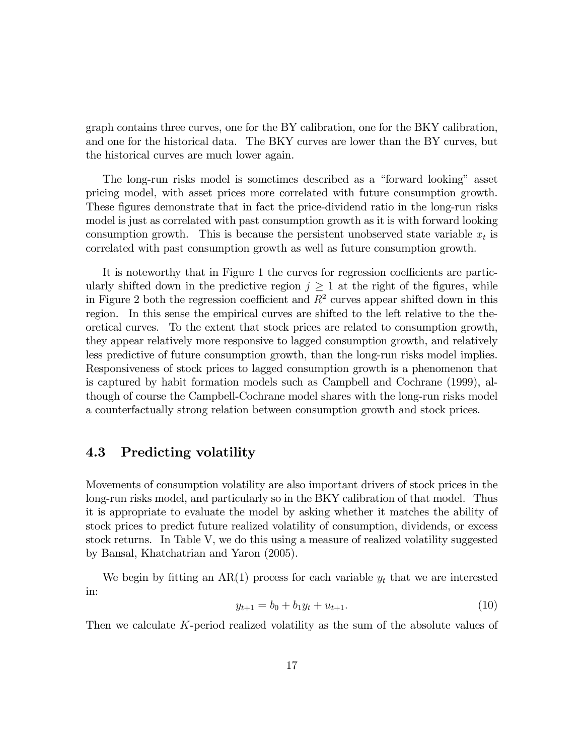graph contains three curves, one for the BY calibration, one for the BKY calibration, and one for the historical data. The BKY curves are lower than the BY curves, but the historical curves are much lower again.

The long-run risks model is sometimes described as a "forward looking" asset pricing model, with asset prices more correlated with future consumption growth. These figures demonstrate that in fact the price-dividend ratio in the long-run risks model is just as correlated with past consumption growth as it is with forward looking consumption growth. This is because the persistent unobserved state variable  $x_t$  is correlated with past consumption growth as well as future consumption growth.

It is noteworthy that in Figure 1 the curves for regression coefficients are particularly shifted down in the predictive region  $j \geq 1$  at the right of the figures, while in Figure 2 both the regression coefficient and  $R^2$  curves appear shifted down in this region. In this sense the empirical curves are shifted to the left relative to the theoretical curves. To the extent that stock prices are related to consumption growth, they appear relatively more responsive to lagged consumption growth, and relatively less predictive of future consumption growth, than the long-run risks model implies. Responsiveness of stock prices to lagged consumption growth is a phenomenon that is captured by habit formation models such as Campbell and Cochrane (1999), although of course the Campbell-Cochrane model shares with the long-run risks model a counterfactually strong relation between consumption growth and stock prices.

### 4.3 Predicting volatility

Movements of consumption volatility are also important drivers of stock prices in the long-run risks model, and particularly so in the BKY calibration of that model. Thus it is appropriate to evaluate the model by asking whether it matches the ability of stock prices to predict future realized volatility of consumption, dividends, or excess stock returns. In Table V, we do this using a measure of realized volatility suggested by Bansal, Khatchatrian and Yaron (2005).

We begin by fitting an  $AR(1)$  process for each variable  $y_t$  that we are interested in:

$$
y_{t+1} = b_0 + b_1 y_t + u_{t+1}.\tag{10}
$$

Then we calculate K-period realized volatility as the sum of the absolute values of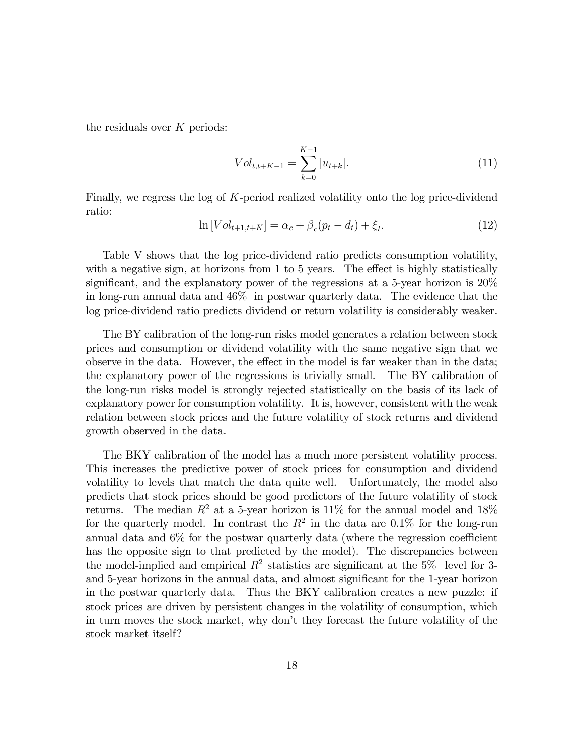the residuals over  $K$  periods:

$$
Vol_{t,t+K-1} = \sum_{k=0}^{K-1} |u_{t+k}|.
$$
 (11)

Finally, we regress the log of K-period realized volatility onto the log price-dividend ratio:

$$
\ln[Vol_{t+1,t+K}] = \alpha_c + \beta_c(p_t - d_t) + \xi_t.
$$
\n(12)

Table V shows that the log price-dividend ratio predicts consumption volatility, with a negative sign, at horizons from  $1$  to  $5$  years. The effect is highly statistically significant, and the explanatory power of the regressions at a 5-year horizon is  $20\%$ in long-run annual data and 46% in postwar quarterly data. The evidence that the log price-dividend ratio predicts dividend or return volatility is considerably weaker.

The BY calibration of the long-run risks model generates a relation between stock prices and consumption or dividend volatility with the same negative sign that we observe in the data. However, the effect in the model is far weaker than in the data; the explanatory power of the regressions is trivially small. The BY calibration of the long-run risks model is strongly rejected statistically on the basis of its lack of explanatory power for consumption volatility. It is, however, consistent with the weak relation between stock prices and the future volatility of stock returns and dividend growth observed in the data.

The BKY calibration of the model has a much more persistent volatility process. This increases the predictive power of stock prices for consumption and dividend volatility to levels that match the data quite well. Unfortunately, the model also predicts that stock prices should be good predictors of the future volatility of stock returns. The median  $R^2$  at a 5-year horizon is 11% for the annual model and 18% for the quarterly model. In contrast the  $R^2$  in the data are 0.1% for the long-run annual data and  $6\%$  for the postwar quarterly data (where the regression coefficient has the opposite sign to that predicted by the model). The discrepancies between the model-implied and empirical  $R^2$  statistics are significant at the 5% level for 3and 5-year horizons in the annual data, and almost significant for the 1-year horizon in the postwar quarterly data. Thus the BKY calibration creates a new puzzle: if stock prices are driven by persistent changes in the volatility of consumption, which in turn moves the stock market, why don't they forecast the future volatility of the stock market itself?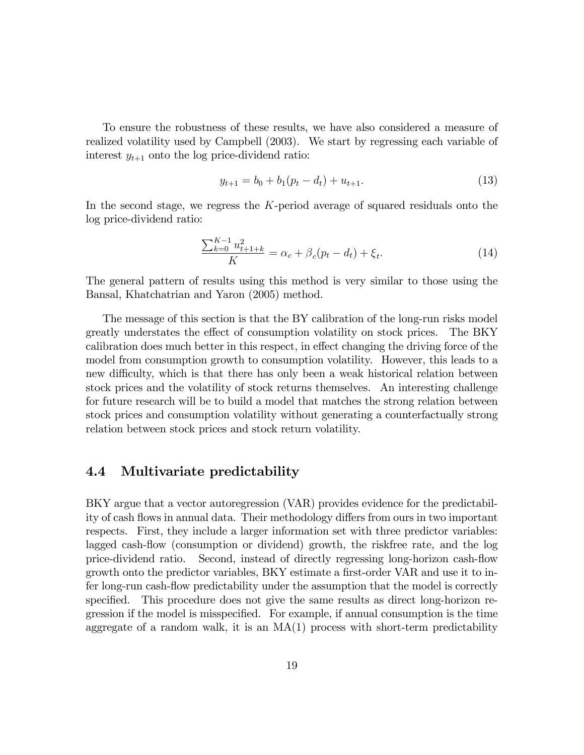To ensure the robustness of these results, we have also considered a measure of realized volatility used by Campbell (2003). We start by regressing each variable of interest  $y_{t+1}$  onto the log price-dividend ratio:

$$
y_{t+1} = b_0 + b_1(p_t - d_t) + u_{t+1}.
$$
\n(13)

In the second stage, we regress the K-period average of squared residuals onto the log price-dividend ratio:

$$
\frac{\sum_{k=0}^{K-1} u_{t+1+k}^2}{K} = \alpha_c + \beta_c(p_t - d_t) + \xi_t.
$$
 (14)

The general pattern of results using this method is very similar to those using the Bansal, Khatchatrian and Yaron (2005) method.

The message of this section is that the BY calibration of the long-run risks model greatly understates the effect of consumption volatility on stock prices. The BKY calibration does much better in this respect, in effect changing the driving force of the model from consumption growth to consumption volatility. However, this leads to a new difficulty, which is that there has only been a weak historical relation between stock prices and the volatility of stock returns themselves. An interesting challenge for future research will be to build a model that matches the strong relation between stock prices and consumption volatility without generating a counterfactually strong relation between stock prices and stock return volatility.

### 4.4 Multivariate predictability

BKY argue that a vector autoregression (VAR) provides evidence for the predictability of cash flows in annual data. Their methodology differs from ours in two important respects. First, they include a larger information set with three predictor variables: lagged cash-flow (consumption or dividend) growth, the riskfree rate, and the log price-dividend ratio. Second, instead of directly regressing long-horizon cash-áow growth onto the predictor variables, BKY estimate a first-order VAR and use it to infer long-run cash-flow predictability under the assumption that the model is correctly specified. This procedure does not give the same results as direct long-horizon regression if the model is misspecified. For example, if annual consumption is the time aggregate of a random walk, it is an  $MA(1)$  process with short-term predictability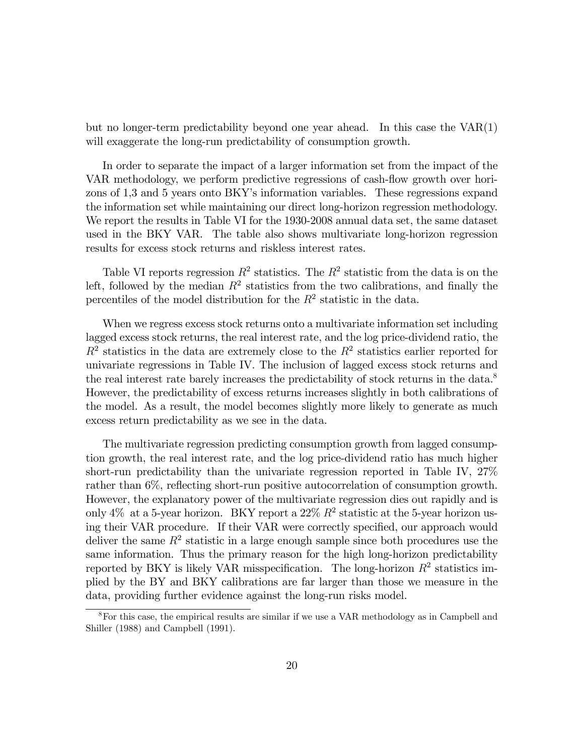but no longer-term predictability beyond one year ahead. In this case the VAR(1) will exaggerate the long-run predictability of consumption growth.

In order to separate the impact of a larger information set from the impact of the VAR methodology, we perform predictive regressions of cash-flow growth over horizons of 1,3 and 5 years onto BKY's information variables. These regressions expand the information set while maintaining our direct long-horizon regression methodology. We report the results in Table VI for the 1930-2008 annual data set, the same dataset used in the BKY VAR. The table also shows multivariate long-horizon regression results for excess stock returns and riskless interest rates.

Table VI reports regression  $R^2$  statistics. The  $R^2$  statistic from the data is on the left, followed by the median  $R^2$  statistics from the two calibrations, and finally the percentiles of the model distribution for the  $R^2$  statistic in the data.

When we regress excess stock returns onto a multivariate information set including lagged excess stock returns, the real interest rate, and the log price-dividend ratio, the  $R<sup>2</sup>$  statistics in the data are extremely close to the  $R<sup>2</sup>$  statistics earlier reported for univariate regressions in Table IV. The inclusion of lagged excess stock returns and the real interest rate barely increases the predictability of stock returns in the data.<sup>8</sup> However, the predictability of excess returns increases slightly in both calibrations of the model. As a result, the model becomes slightly more likely to generate as much excess return predictability as we see in the data.

The multivariate regression predicting consumption growth from lagged consumption growth, the real interest rate, and the log price-dividend ratio has much higher short-run predictability than the univariate regression reported in Table IV, 27% rather than 6%, reflecting short-run positive autocorrelation of consumption growth. However, the explanatory power of the multivariate regression dies out rapidly and is only 4% at a 5-year horizon. BKY report a  $22\% R^2$  statistic at the 5-year horizon using their VAR procedure. If their VAR were correctly specified, our approach would deliver the same  $R^2$  statistic in a large enough sample since both procedures use the same information. Thus the primary reason for the high long-horizon predictability reported by BKY is likely VAR misspecification. The long-horizon  $R^2$  statistics implied by the BY and BKY calibrations are far larger than those we measure in the data, providing further evidence against the long-run risks model.

<sup>8</sup>For this case, the empirical results are similar if we use a VAR methodology as in Campbell and Shiller (1988) and Campbell (1991).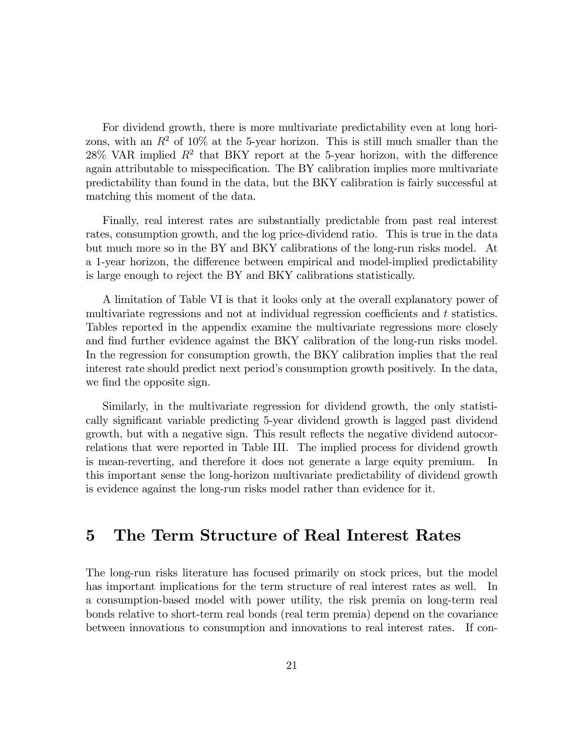For dividend growth, there is more multivariate predictability even at long horizons, with an  $R^2$  of 10% at the 5-year horizon. This is still much smaller than the  $28\%$  VAR implied  $R^2$  that BKY report at the 5-year horizon, with the difference again attributable to misspecification. The BY calibration implies more multivariate predictability than found in the data, but the BKY calibration is fairly successful at matching this moment of the data.

Finally, real interest rates are substantially predictable from past real interest rates, consumption growth, and the log price-dividend ratio. This is true in the data but much more so in the BY and BKY calibrations of the long-run risks model. At a 1-year horizon, the difference between empirical and model-implied predictability is large enough to reject the BY and BKY calibrations statistically.

A limitation of Table VI is that it looks only at the overall explanatory power of multivariate regressions and not at individual regression coefficients and  $t$  statistics. Tables reported in the appendix examine the multivariate regressions more closely and find further evidence against the BKY calibration of the long-run risks model. In the regression for consumption growth, the BKY calibration implies that the real interest rate should predict next period's consumption growth positively. In the data, we find the opposite sign.

Similarly, in the multivariate regression for dividend growth, the only statistically significant variable predicting 5-year dividend growth is lagged past dividend growth, but with a negative sign. This result reflects the negative dividend autocorrelations that were reported in Table III. The implied process for dividend growth is mean-reverting, and therefore it does not generate a large equity premium. In this important sense the long-horizon multivariate predictability of dividend growth is evidence against the long-run risks model rather than evidence for it.

## 5 The Term Structure of Real Interest Rates

The long-run risks literature has focused primarily on stock prices, but the model has important implications for the term structure of real interest rates as well. In a consumption-based model with power utility, the risk premia on long-term real bonds relative to short-term real bonds (real term premia) depend on the covariance between innovations to consumption and innovations to real interest rates. If con-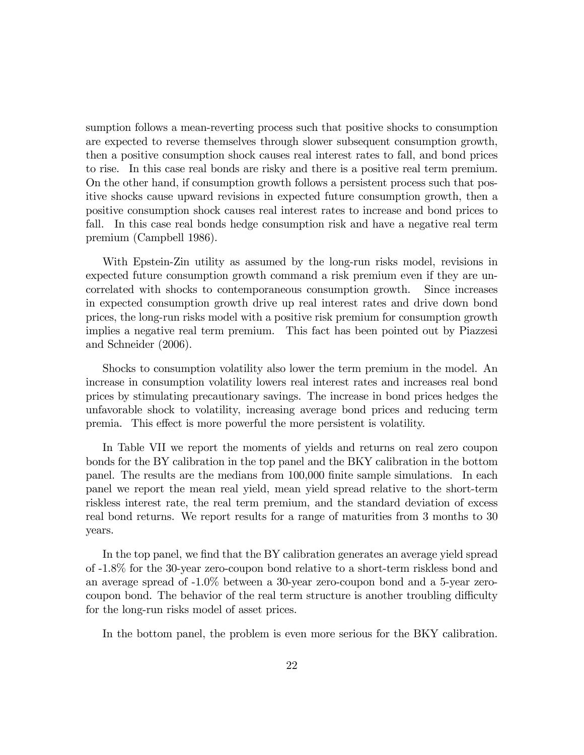sumption follows a mean-reverting process such that positive shocks to consumption are expected to reverse themselves through slower subsequent consumption growth, then a positive consumption shock causes real interest rates to fall, and bond prices to rise. In this case real bonds are risky and there is a positive real term premium. On the other hand, if consumption growth follows a persistent process such that positive shocks cause upward revisions in expected future consumption growth, then a positive consumption shock causes real interest rates to increase and bond prices to fall. In this case real bonds hedge consumption risk and have a negative real term premium (Campbell 1986).

With Epstein-Zin utility as assumed by the long-run risks model, revisions in expected future consumption growth command a risk premium even if they are uncorrelated with shocks to contemporaneous consumption growth. Since increases in expected consumption growth drive up real interest rates and drive down bond prices, the long-run risks model with a positive risk premium for consumption growth implies a negative real term premium. This fact has been pointed out by Piazzesi and Schneider (2006).

Shocks to consumption volatility also lower the term premium in the model. An increase in consumption volatility lowers real interest rates and increases real bond prices by stimulating precautionary savings. The increase in bond prices hedges the unfavorable shock to volatility, increasing average bond prices and reducing term premia. This effect is more powerful the more persistent is volatility.

In Table VII we report the moments of yields and returns on real zero coupon bonds for the BY calibration in the top panel and the BKY calibration in the bottom panel. The results are the medians from 100,000 finite sample simulations. In each panel we report the mean real yield, mean yield spread relative to the short-term riskless interest rate, the real term premium, and the standard deviation of excess real bond returns. We report results for a range of maturities from 3 months to 30 years.

In the top panel, we find that the BY calibration generates an average yield spread of -1.8% for the 30-year zero-coupon bond relative to a short-term riskless bond and an average spread of -1.0% between a 30-year zero-coupon bond and a 5-year zerocoupon bond. The behavior of the real term structure is another troubling difficulty for the long-run risks model of asset prices.

In the bottom panel, the problem is even more serious for the BKY calibration.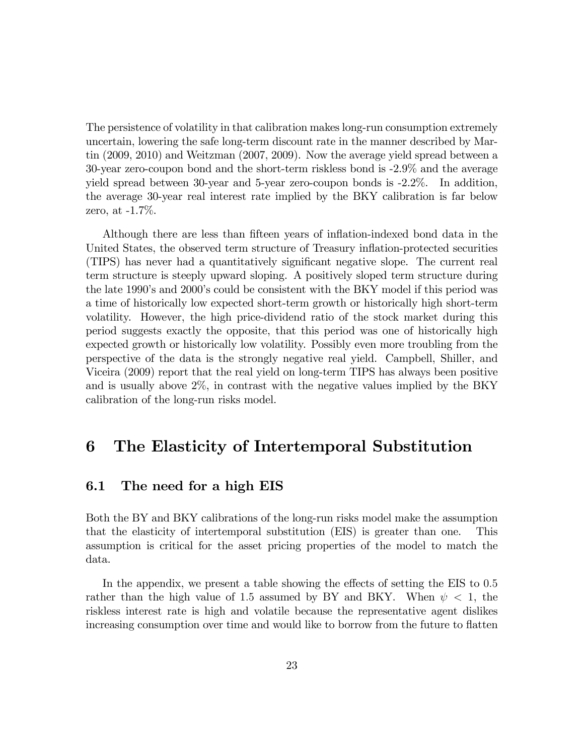The persistence of volatility in that calibration makes long-run consumption extremely uncertain, lowering the safe long-term discount rate in the manner described by Martin (2009, 2010) and Weitzman (2007, 2009). Now the average yield spread between a 30-year zero-coupon bond and the short-term riskless bond is -2.9% and the average yield spread between 30-year and 5-year zero-coupon bonds is -2.2%. In addition, the average 30-year real interest rate implied by the BKY calibration is far below zero, at -1.7%.

Although there are less than fifteen years of inflation-indexed bond data in the United States, the observed term structure of Treasury inflation-protected securities (TIPS) has never had a quantitatively significant negative slope. The current real term structure is steeply upward sloping. A positively sloped term structure during the late 1990's and 2000's could be consistent with the BKY model if this period was a time of historically low expected short-term growth or historically high short-term volatility. However, the high price-dividend ratio of the stock market during this period suggests exactly the opposite, that this period was one of historically high expected growth or historically low volatility. Possibly even more troubling from the perspective of the data is the strongly negative real yield. Campbell, Shiller, and Viceira (2009) report that the real yield on long-term TIPS has always been positive and is usually above 2%, in contrast with the negative values implied by the BKY calibration of the long-run risks model.

### 6 The Elasticity of Intertemporal Substitution

#### 6.1 The need for a high EIS

Both the BY and BKY calibrations of the long-run risks model make the assumption that the elasticity of intertemporal substitution (EIS) is greater than one. This assumption is critical for the asset pricing properties of the model to match the data.

In the appendix, we present a table showing the effects of setting the EIS to  $0.5$ rather than the high value of 1.5 assumed by BY and BKY. When  $\psi$  < 1, the riskless interest rate is high and volatile because the representative agent dislikes increasing consumption over time and would like to borrow from the future to flatten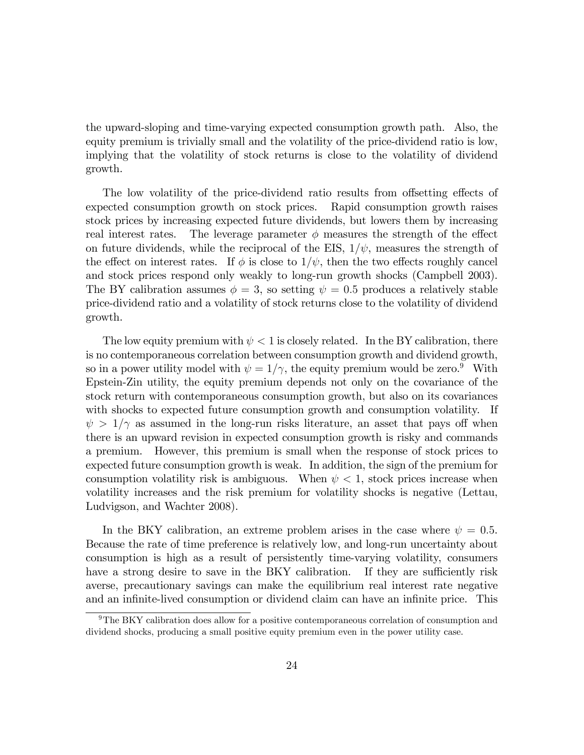the upward-sloping and time-varying expected consumption growth path. Also, the equity premium is trivially small and the volatility of the price-dividend ratio is low, implying that the volatility of stock returns is close to the volatility of dividend growth.

The low volatility of the price-dividend ratio results from offsetting effects of expected consumption growth on stock prices. Rapid consumption growth raises stock prices by increasing expected future dividends, but lowers them by increasing real interest rates. The leverage parameter  $\phi$  measures the strength of the effect on future dividends, while the reciprocal of the EIS,  $1/\psi$ , measures the strength of the effect on interest rates. If  $\phi$  is close to  $1/\psi$ , then the two effects roughly cancel and stock prices respond only weakly to long-run growth shocks (Campbell 2003). The BY calibration assumes  $\phi = 3$ , so setting  $\psi = 0.5$  produces a relatively stable price-dividend ratio and a volatility of stock returns close to the volatility of dividend growth.

The low equity premium with  $\psi < 1$  is closely related. In the BY calibration, there is no contemporaneous correlation between consumption growth and dividend growth, so in a power utility model with  $\psi = 1/\gamma$ , the equity premium would be zero.<sup>9</sup> With Epstein-Zin utility, the equity premium depends not only on the covariance of the stock return with contemporaneous consumption growth, but also on its covariances with shocks to expected future consumption growth and consumption volatility. If  $\psi > 1/\gamma$  as assumed in the long-run risks literature, an asset that pays off when there is an upward revision in expected consumption growth is risky and commands a premium. However, this premium is small when the response of stock prices to expected future consumption growth is weak. In addition, the sign of the premium for consumption volatility risk is ambiguous. When  $\psi$  < 1, stock prices increase when volatility increases and the risk premium for volatility shocks is negative (Lettau, Ludvigson, and Wachter 2008).

In the BKY calibration, an extreme problem arises in the case where  $\psi = 0.5$ . Because the rate of time preference is relatively low, and long-run uncertainty about consumption is high as a result of persistently time-varying volatility, consumers have a strong desire to save in the BKY calibration. If they are sufficiently risk averse, precautionary savings can make the equilibrium real interest rate negative and an infinite-lived consumption or dividend claim can have an infinite price. This

 $9$ The BKY calibration does allow for a positive contemporaneous correlation of consumption and dividend shocks, producing a small positive equity premium even in the power utility case.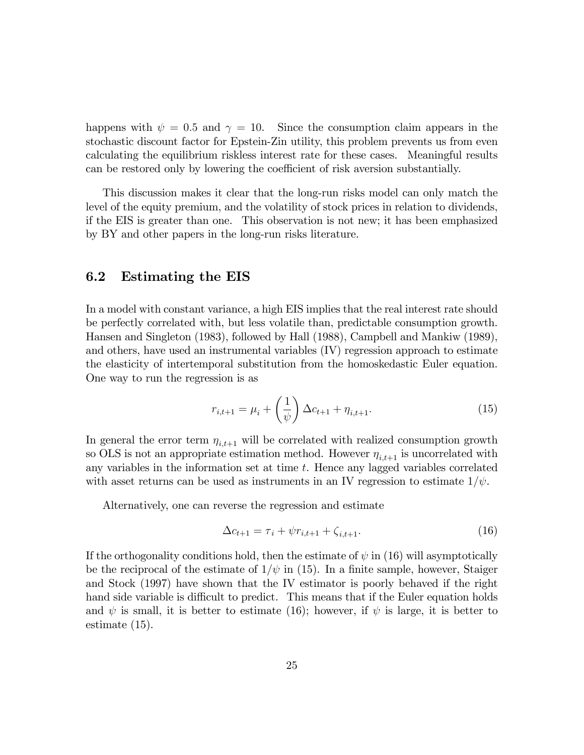happens with  $\psi = 0.5$  and  $\gamma = 10$ . Since the consumption claim appears in the stochastic discount factor for Epstein-Zin utility, this problem prevents us from even calculating the equilibrium riskless interest rate for these cases. Meaningful results can be restored only by lowering the coefficient of risk aversion substantially.

This discussion makes it clear that the long-run risks model can only match the level of the equity premium, and the volatility of stock prices in relation to dividends, if the EIS is greater than one. This observation is not new; it has been emphasized by BY and other papers in the long-run risks literature.

### 6.2 Estimating the EIS

In a model with constant variance, a high EIS implies that the real interest rate should be perfectly correlated with, but less volatile than, predictable consumption growth. Hansen and Singleton (1983), followed by Hall (1988), Campbell and Mankiw (1989), and others, have used an instrumental variables (IV) regression approach to estimate the elasticity of intertemporal substitution from the homoskedastic Euler equation. One way to run the regression is as

$$
r_{i,t+1} = \mu_i + \left(\frac{1}{\psi}\right) \Delta c_{t+1} + \eta_{i,t+1}.
$$
 (15)

In general the error term  $\eta_{i,t+1}$  will be correlated with realized consumption growth so OLS is not an appropriate estimation method. However  $\eta_{i,t+1}$  is uncorrelated with any variables in the information set at time t. Hence any lagged variables correlated with asset returns can be used as instruments in an IV regression to estimate  $1/\psi$ .

Alternatively, one can reverse the regression and estimate

$$
\Delta c_{t+1} = \tau_i + \psi r_{i,t+1} + \zeta_{i,t+1}.
$$
\n(16)

If the orthogonality conditions hold, then the estimate of  $\psi$  in (16) will asymptotically be the reciprocal of the estimate of  $1/\psi$  in (15). In a finite sample, however, Staiger and Stock (1997) have shown that the IV estimator is poorly behaved if the right hand side variable is difficult to predict. This means that if the Euler equation holds and  $\psi$  is small, it is better to estimate (16); however, if  $\psi$  is large, it is better to estimate (15).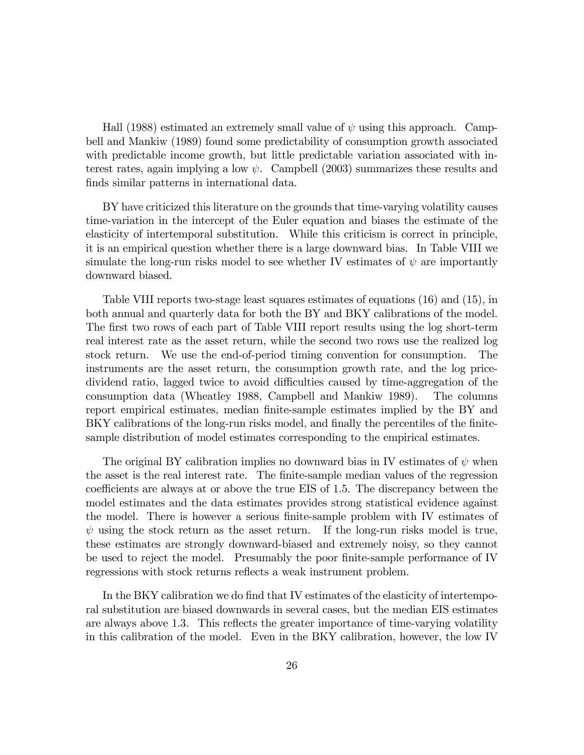Hall (1988) estimated an extremely small value of  $\psi$  using this approach. Campbell and Mankiw (1989) found some predictability of consumption growth associated with predictable income growth, but little predictable variation associated with interest rates, again implying a low  $\psi$ . Campbell (2003) summarizes these results and finds similar patterns in international data.

BY have criticized this literature on the grounds that time-varying volatility causes time-variation in the intercept of the Euler equation and biases the estimate of the elasticity of intertemporal substitution. While this criticism is correct in principle, it is an empirical question whether there is a large downward bias. In Table VIII we simulate the long-run risks model to see whether IV estimates of  $\psi$  are importantly downward biased.

Table VIII reports two-stage least squares estimates of equations (16) and (15), in both annual and quarterly data for both the BY and BKY calibrations of the model. The first two rows of each part of Table VIII report results using the log short-term real interest rate as the asset return, while the second two rows use the realized log stock return. We use the end-of-period timing convention for consumption. The instruments are the asset return, the consumption growth rate, and the log pricedividend ratio, lagged twice to avoid difficulties caused by time-aggregation of the consumption data (Wheatley 1988, Campbell and Mankiw 1989). The columns report empirical estimates, median finite-sample estimates implied by the BY and BKY calibrations of the long-run risks model, and finally the percentiles of the finitesample distribution of model estimates corresponding to the empirical estimates.

The original BY calibration implies no downward bias in IV estimates of  $\psi$  when the asset is the real interest rate. The Önite-sample median values of the regression coefficients are always at or above the true EIS of 1.5. The discrepancy between the model estimates and the data estimates provides strong statistical evidence against the model. There is however a serious finite-sample problem with IV estimates of  $\psi$  using the stock return as the asset return. If the long-run risks model is true, these estimates are strongly downward-biased and extremely noisy, so they cannot be used to reject the model. Presumably the poor finite-sample performance of IV regressions with stock returns reflects a weak instrument problem.

In the BKY calibration we do find that IV estimates of the elasticity of intertemporal substitution are biased downwards in several cases, but the median EIS estimates are always above 1.3. This reflects the greater importance of time-varying volatility in this calibration of the model. Even in the BKY calibration, however, the low IV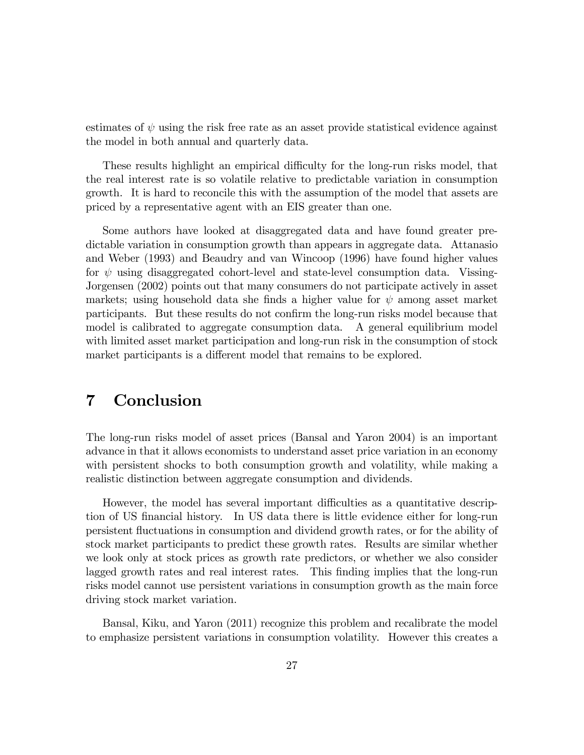estimates of  $\psi$  using the risk free rate as an asset provide statistical evidence against the model in both annual and quarterly data.

These results highlight an empirical difficulty for the long-run risks model, that the real interest rate is so volatile relative to predictable variation in consumption growth. It is hard to reconcile this with the assumption of the model that assets are priced by a representative agent with an EIS greater than one.

Some authors have looked at disaggregated data and have found greater predictable variation in consumption growth than appears in aggregate data. Attanasio and Weber (1993) and Beaudry and van Wincoop (1996) have found higher values for  $\psi$  using disaggregated cohort-level and state-level consumption data. Vissing-Jorgensen (2002) points out that many consumers do not participate actively in asset markets; using household data she finds a higher value for  $\psi$  among asset market participants. But these results do not confirm the long-run risks model because that model is calibrated to aggregate consumption data. A general equilibrium model with limited asset market participation and long-run risk in the consumption of stock market participants is a different model that remains to be explored.

# 7 Conclusion

The long-run risks model of asset prices (Bansal and Yaron 2004) is an important advance in that it allows economists to understand asset price variation in an economy with persistent shocks to both consumption growth and volatility, while making a realistic distinction between aggregate consumption and dividends.

However, the model has several important difficulties as a quantitative description of US financial history. In US data there is little evidence either for long-run persistent áuctuations in consumption and dividend growth rates, or for the ability of stock market participants to predict these growth rates. Results are similar whether we look only at stock prices as growth rate predictors, or whether we also consider lagged growth rates and real interest rates. This finding implies that the long-run risks model cannot use persistent variations in consumption growth as the main force driving stock market variation.

Bansal, Kiku, and Yaron (2011) recognize this problem and recalibrate the model to emphasize persistent variations in consumption volatility. However this creates a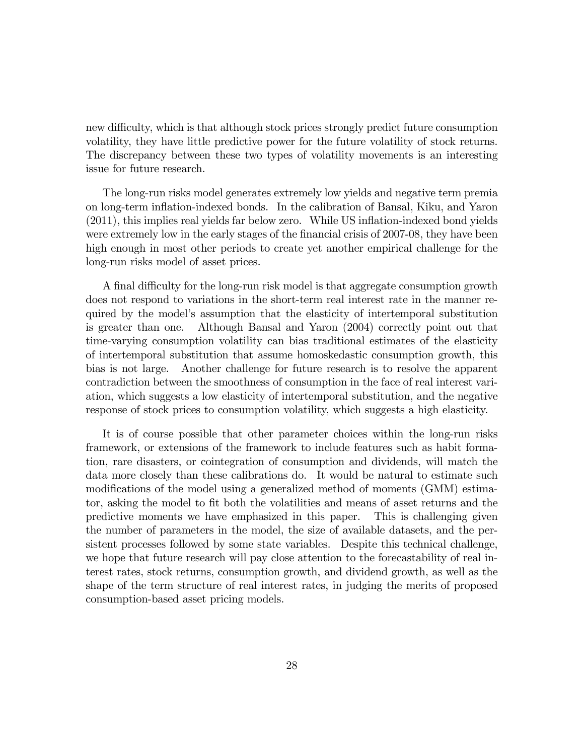new difficulty, which is that although stock prices strongly predict future consumption volatility, they have little predictive power for the future volatility of stock returns. The discrepancy between these two types of volatility movements is an interesting issue for future research.

The long-run risks model generates extremely low yields and negative term premia on long-term ináation-indexed bonds. In the calibration of Bansal, Kiku, and Yaron (2011), this implies real yields far below zero. While US ináation-indexed bond yields were extremely low in the early stages of the financial crisis of 2007-08, they have been high enough in most other periods to create yet another empirical challenge for the long-run risks model of asset prices.

A final difficulty for the long-run risk model is that aggregate consumption growth does not respond to variations in the short-term real interest rate in the manner required by the modelís assumption that the elasticity of intertemporal substitution is greater than one. Although Bansal and Yaron (2004) correctly point out that time-varying consumption volatility can bias traditional estimates of the elasticity of intertemporal substitution that assume homoskedastic consumption growth, this bias is not large. Another challenge for future research is to resolve the apparent contradiction between the smoothness of consumption in the face of real interest variation, which suggests a low elasticity of intertemporal substitution, and the negative response of stock prices to consumption volatility, which suggests a high elasticity.

It is of course possible that other parameter choices within the long-run risks framework, or extensions of the framework to include features such as habit formation, rare disasters, or cointegration of consumption and dividends, will match the data more closely than these calibrations do. It would be natural to estimate such modifications of the model using a generalized method of moments (GMM) estimator, asking the model to fit both the volatilities and means of asset returns and the predictive moments we have emphasized in this paper. This is challenging given the number of parameters in the model, the size of available datasets, and the persistent processes followed by some state variables. Despite this technical challenge, we hope that future research will pay close attention to the forecastability of real interest rates, stock returns, consumption growth, and dividend growth, as well as the shape of the term structure of real interest rates, in judging the merits of proposed consumption-based asset pricing models.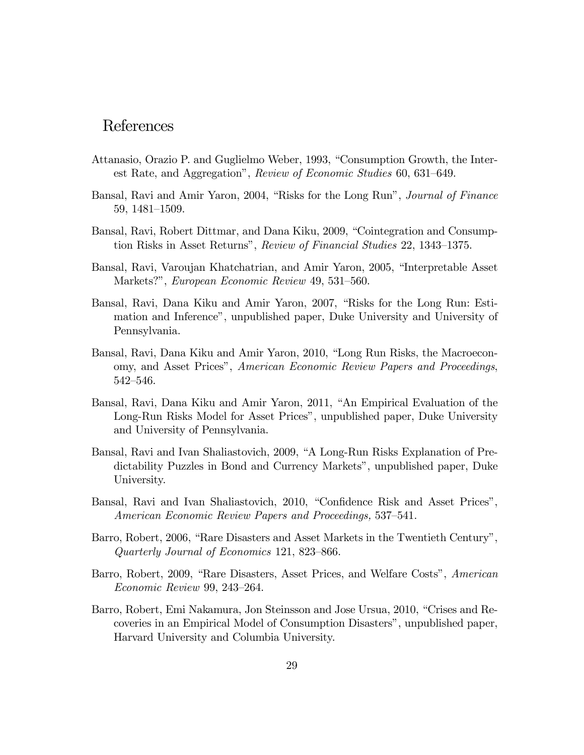### References

- Attanasio, Orazio P. and Guglielmo Weber, 1993, "Consumption Growth, the Interest Rate, and Aggregation", Review of Economic Studies 60, 631–649.
- Bansal, Ravi and Amir Yaron, 2004, "Risks for the Long Run", *Journal of Finance* 59, 1481-1509.
- Bansal, Ravi, Robert Dittmar, and Dana Kiku, 2009, "Cointegration and Consumption Risks in Asset Returns", Review of Financial Studies 22, 1343–1375.
- Bansal, Ravi, Varoujan Khatchatrian, and Amir Yaron, 2005, "Interpretable Asset Markets?", European Economic Review 49, 531–560.
- Bansal, Ravi, Dana Kiku and Amir Yaron, 2007, "Risks for the Long Run: Estimation and Inferenceî, unpublished paper, Duke University and University of Pennsylvania.
- Bansal, Ravi, Dana Kiku and Amir Yaron, 2010, "Long Run Risks, the Macroeconomy, and Asset Prices", American Economic Review Papers and Proceedings, 542-546.
- Bansal, Ravi, Dana Kiku and Amir Yaron, 2011, "An Empirical Evaluation of the Long-Run Risks Model for Asset Prices", unpublished paper, Duke University and University of Pennsylvania.
- Bansal, Ravi and Ivan Shaliastovich, 2009, "A Long-Run Risks Explanation of Predictability Puzzles in Bond and Currency Markets", unpublished paper, Duke University.
- Bansal, Ravi and Ivan Shaliastovich, 2010, "Confidence Risk and Asset Prices", American Economic Review Papers and Proceedings, 537–541.
- Barro, Robert, 2006, "Rare Disasters and Asset Markets in the Twentieth Century", Quarterly Journal of Economics 121, 823–866.
- Barro, Robert, 2009, "Rare Disasters, Asset Prices, and Welfare Costs", American Economic Review 99, 243-264.
- Barro, Robert, Emi Nakamura, Jon Steinsson and Jose Ursua, 2010, "Crises and Recoveries in an Empirical Model of Consumption Disasters", unpublished paper, Harvard University and Columbia University.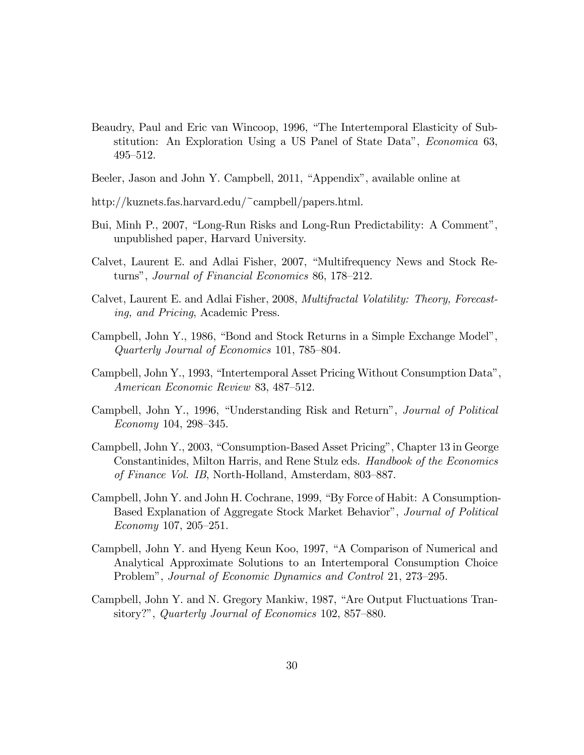- Beaudry, Paul and Eric van Wincoop, 1996, "The Intertemporal Elasticity of Substitution: An Exploration Using a US Panel of State Data", *Economica* 63,  $495 - 512.$
- Beeler, Jason and John Y. Campbell, 2011, "Appendix", available online at
- http://kuznets.fas.harvard.edu/~campbell/papers.html.
- Bui, Minh P., 2007, "Long-Run Risks and Long-Run Predictability: A Comment", unpublished paper, Harvard University.
- Calvet, Laurent E. and Adlai Fisher, 2007, "Multifrequency News and Stock Returns", Journal of Financial Economics 86, 178–212.
- Calvet, Laurent E. and Adlai Fisher, 2008, Multifractal Volatility: Theory, Forecasting, and Pricing, Academic Press.
- Campbell, John Y., 1986, "Bond and Stock Returns in a Simple Exchange Model", Quarterly Journal of Economics 101, 785–804.
- Campbell, John Y., 1993, "Intertemporal Asset Pricing Without Consumption Data", American Economic Review 83, 487-512.
- Campbell, John Y., 1996, "Understanding Risk and Return", *Journal of Political*  $Economy 104, 298–345.$
- Campbell, John Y., 2003, "Consumption-Based Asset Pricing", Chapter 13 in George Constantinides, Milton Harris, and Rene Stulz eds. Handbook of the Economics of Finance Vol. IB, North-Holland, Amsterdam, 803–887.
- Campbell, John Y. and John H. Cochrane, 1999, "By Force of Habit: A Consumption-Based Explanation of Aggregate Stock Market Behavior", Journal of Political  $Economy 107, 205-251.$
- Campbell, John Y. and Hyeng Keun Koo, 1997, "A Comparison of Numerical and Analytical Approximate Solutions to an Intertemporal Consumption Choice Problem", Journal of Economic Dynamics and Control 21, 273–295.
- Campbell, John Y. and N. Gregory Mankiw, 1987, "Are Output Fluctuations Transitory?", Quarterly Journal of Economics 102, 857–880.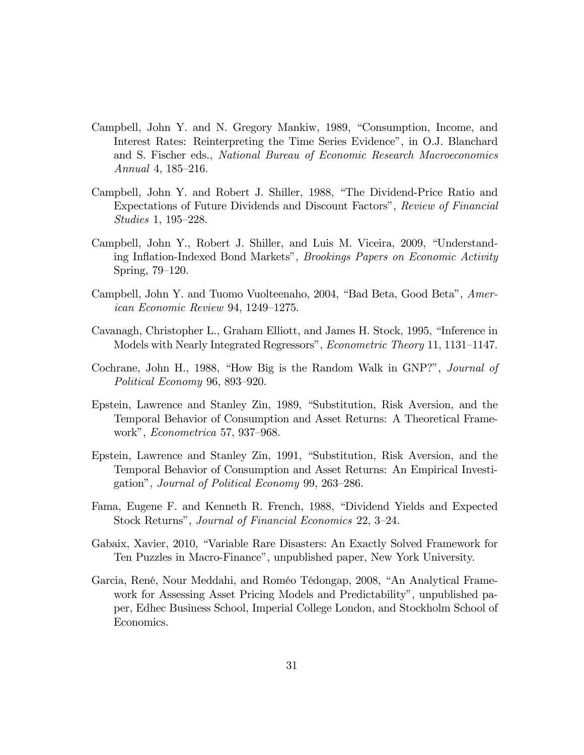- Campbell, John Y. and N. Gregory Mankiw, 1989, "Consumption, Income, and Interest Rates: Reinterpreting the Time Series Evidenceî, in O.J. Blanchard and S. Fischer eds., National Bureau of Economic Research Macroeconomics Annual 4,  $185-216$ .
- Campbell, John Y. and Robert J. Shiller, 1988, "The Dividend-Price Ratio and Expectations of Future Dividends and Discount Factors", Review of Financial  $Studies\ 1,\ 195-228.$
- Campbell, John Y., Robert J. Shiller, and Luis M. Viceira, 2009, "Understanding Inflation-Indexed Bond Markets", *Brookings Papers on Economic Activity* Spring,  $79-120$ .
- Campbell, John Y. and Tuomo Vuolteenaho, 2004, "Bad Beta, Good Beta", American Economic Review 94, 1249–1275.
- Cavanagh, Christopher L., Graham Elliott, and James H. Stock, 1995, "Inference in Models with Nearly Integrated Regressors", *Econometric Theory* 11, 1131–1147.
- Cochrane, John H., 1988, "How Big is the Random Walk in GNP?", *Journal of* Political Economy 96, 893–920.
- Epstein, Lawrence and Stanley Zin, 1989, "Substitution, Risk Aversion, and the Temporal Behavior of Consumption and Asset Returns: A Theoretical Framework",  $Econometrica 57, 937–968.$
- Epstein, Lawrence and Stanley Zin, 1991, "Substitution, Risk Aversion, and the Temporal Behavior of Consumption and Asset Returns: An Empirical Investigation", Journal of Political Economy 99, 263–286.
- Fama, Eugene F. and Kenneth R. French, 1988, "Dividend Yields and Expected Stock Returns", Journal of Financial Economics 22, 3–24.
- Gabaix, Xavier, 2010, "Variable Rare Disasters: An Exactly Solved Framework for Ten Puzzles in Macro-Financeî, unpublished paper, New York University.
- Garcia, René, Nour Meddahi, and Roméo Tédongap, 2008, "An Analytical Framework for Assessing Asset Pricing Models and Predictability", unpublished paper, Edhec Business School, Imperial College London, and Stockholm School of Economics.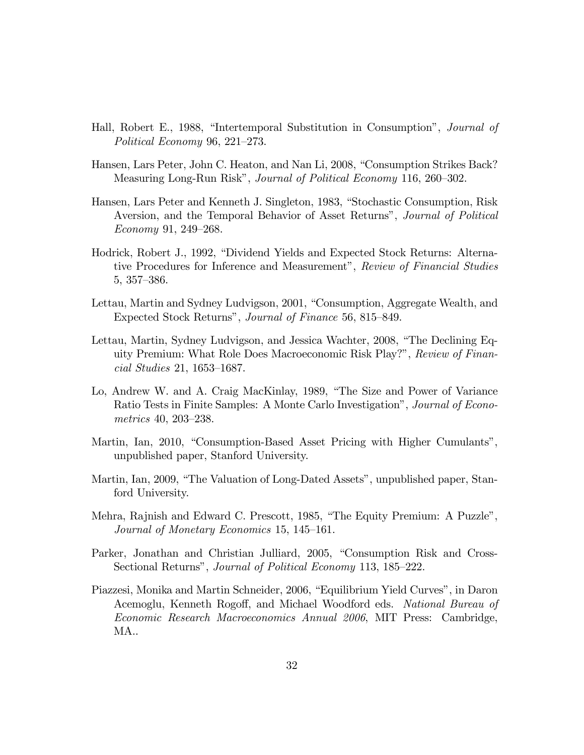- Hall, Robert E., 1988, "Intertemporal Substitution in Consumption", *Journal of* Political Economy 96, 221–273.
- Hansen, Lars Peter, John C. Heaton, and Nan Li, 2008, "Consumption Strikes Back? Measuring Long-Run Risk", *Journal of Political Economy* 116, 260–302.
- Hansen, Lars Peter and Kenneth J. Singleton, 1983, "Stochastic Consumption, Risk Aversion, and the Temporal Behavior of Asset Returns", *Journal of Political*  $Economy 91, 249-268.$
- Hodrick, Robert J., 1992, "Dividend Yields and Expected Stock Returns: Alternative Procedures for Inference and Measurement", Review of Financial Studies  $5, 357 - 386.$
- Lettau, Martin and Sydney Ludvigson, 2001, "Consumption, Aggregate Wealth, and Expected Stock Returns", *Journal of Finance* 56, 815–849.
- Lettau, Martin, Sydney Ludvigson, and Jessica Wachter, 2008, "The Declining Equity Premium: What Role Does Macroeconomic Risk Play?", Review of Finan $cial \ Studies \ 21, \ 1653–1687.$
- Lo, Andrew W. and A. Craig MacKinlay, 1989, "The Size and Power of Variance Ratio Tests in Finite Samples: A Monte Carlo Investigationî, Journal of Econometrics  $40, 203 - 238$ .
- Martin, Ian, 2010, "Consumption-Based Asset Pricing with Higher Cumulants", unpublished paper, Stanford University.
- Martin, Ian, 2009, "The Valuation of Long-Dated Assets", unpublished paper, Stanford University.
- Mehra, Rajnish and Edward C. Prescott, 1985, "The Equity Premium: A Puzzle", Journal of Monetary Economics 15, 145–161.
- Parker, Jonathan and Christian Julliard, 2005, "Consumption Risk and Cross-Sectional Returns", *Journal of Political Economy* 113, 185–222.
- Piazzesi, Monika and Martin Schneider, 2006, "Equilibrium Yield Curves", in Daron Acemoglu, Kenneth Rogoff, and Michael Woodford eds. National Bureau of Economic Research Macroeconomics Annual 2006, MIT Press: Cambridge, MA..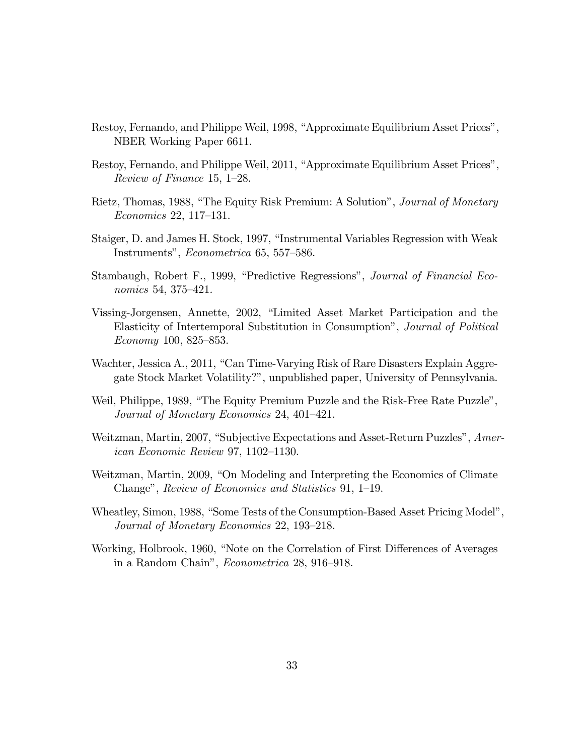- Restoy, Fernando, and Philippe Weil, 1998, "Approximate Equilibrium Asset Prices", NBER Working Paper 6611.
- Restoy, Fernando, and Philippe Weil, 2011, "Approximate Equilibrium Asset Prices", Review of Finance 15, 1–28.
- Rietz, Thomas, 1988, "The Equity Risk Premium: A Solution", *Journal of Monetary*  $Economics 22, 117–131.$
- Staiger, D. and James H. Stock, 1997, "Instrumental Variables Regression with Weak Instruments", *Econometrica* 65, 557–586.
- Stambaugh, Robert F., 1999, "Predictive Regressions", Journal of Financial Economics 54, 375–421.
- Vissing-Jorgensen, Annette, 2002, "Limited Asset Market Participation and the Elasticity of Intertemporal Substitution in Consumptionî, Journal of Political  $Economy 100, 825–853.$
- Wachter, Jessica A., 2011, "Can Time-Varying Risk of Rare Disasters Explain Aggregate Stock Market Volatility?î, unpublished paper, University of Pennsylvania.
- Weil, Philippe, 1989, "The Equity Premium Puzzle and the Risk-Free Rate Puzzle", Journal of Monetary Economics 24, 401–421.
- Weitzman, Martin, 2007, "Subjective Expectations and Asset-Return Puzzles", Amer $ican\ Economic\ Review\ 97, 1102–1130.$
- Weitzman, Martin, 2009, "On Modeling and Interpreting the Economics of Climate Change", Review of Economics and Statistics 91, 1–19.
- Wheatley, Simon, 1988, "Some Tests of the Consumption-Based Asset Pricing Model", Journal of Monetary Economics 22, 193–218.
- Working, Holbrook, 1960, "Note on the Correlation of First Differences of Averages in a Random Chain", *Econometrica* 28, 916-918.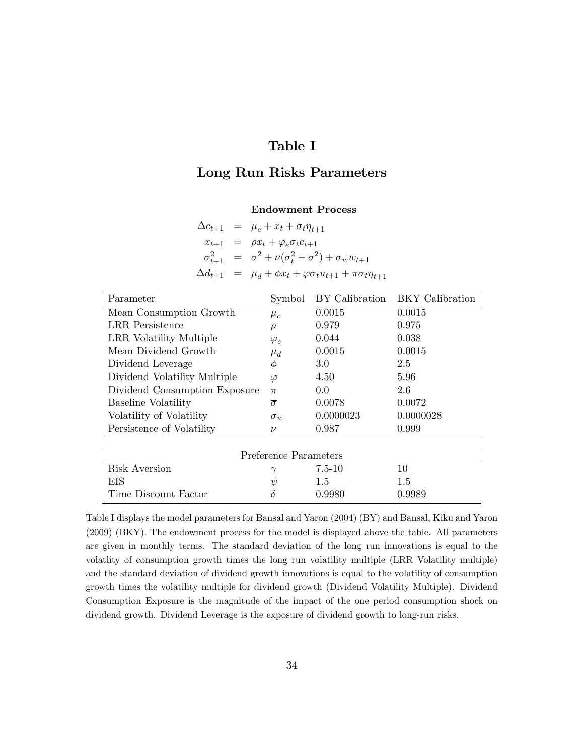### Table I

### Long Run Risks Parameters

#### Endowment Process

|                  | $\Delta c_{t+1} = \mu_c + x_t + \sigma_t \eta_{t+1}$                                              |
|------------------|---------------------------------------------------------------------------------------------------|
|                  | $x_{t+1} = \rho x_t + \varphi_e \sigma_t e_{t+1}$                                                 |
|                  | $\sigma_{t+1}^2 = \overline{\sigma}^2 + \nu(\sigma_t^2 - \overline{\sigma}^2) + \sigma_w w_{t+1}$ |
| $\Delta d_{t+1}$ | $= \mu_d + \phi x_t + \varphi \sigma_t u_{t+1} + \pi \sigma_t \eta_{t+1}$                         |

| Parameter                     | Symbol         | BY Calibration | <b>BKY</b> Calibration |  |  |  |  |
|-------------------------------|----------------|----------------|------------------------|--|--|--|--|
| Mean Consumption Growth       | $\mu_c$        | 0.0015         | 0.0015                 |  |  |  |  |
| <b>LRR</b> Persistence        | $\rho$         | 0.979          | 0.975                  |  |  |  |  |
| LRR Volatility Multiple       | $\varphi_e$    | 0.044          | 0.038                  |  |  |  |  |
| Mean Dividend Growth          | $\mu_d$        | 0.0015         | 0.0015                 |  |  |  |  |
| Dividend Leverage             | Φ              | $3.0\,$        | 2.5                    |  |  |  |  |
| Dividend Volatility Multiple  | $\varphi$      | 4.50           | 5.96                   |  |  |  |  |
| Dividend Consumption Exposure | $\pi$          | 0.0            | 2.6                    |  |  |  |  |
| <b>Baseline Volatility</b>    | $\bar{\sigma}$ | 0.0078         | 0.0072                 |  |  |  |  |
| Volatility of Volatility      | $\sigma_w$     | 0.0000023      | 0.0000028              |  |  |  |  |
| Persistence of Volatility     | $\nu$          | 0.987          | 0.999                  |  |  |  |  |
|                               |                |                |                        |  |  |  |  |
| Preference Parameters         |                |                |                        |  |  |  |  |
| Risk Aversion                 | $\gamma$       | $7.5 - 10$     | 10                     |  |  |  |  |
| EIS                           | $\psi$         | 1.5            | 1.5                    |  |  |  |  |
| Time Discount Factor          | $\delta$       | 0.9980         | 0.9989                 |  |  |  |  |

Table I displays the model parameters for Bansal and Yaron (2004) (BY) and Bansal, Kiku and Yaron (2009) (BKY). The endowment process for the model is displayed above the table. All parameters are given in monthly terms. The standard deviation of the long run innovations is equal to the volatlity of consumption growth times the long run volatility multiple (LRR Volatility multiple) and the standard deviation of dividend growth innovations is equal to the volatility of consumption growth times the volatility multiple for dividend growth (Dividend Volatility Multiple). Dividend Consumption Exposure is the magnitude of the impact of the one period consumption shock on dividend growth. Dividend Leverage is the exposure of dividend growth to long-run risks.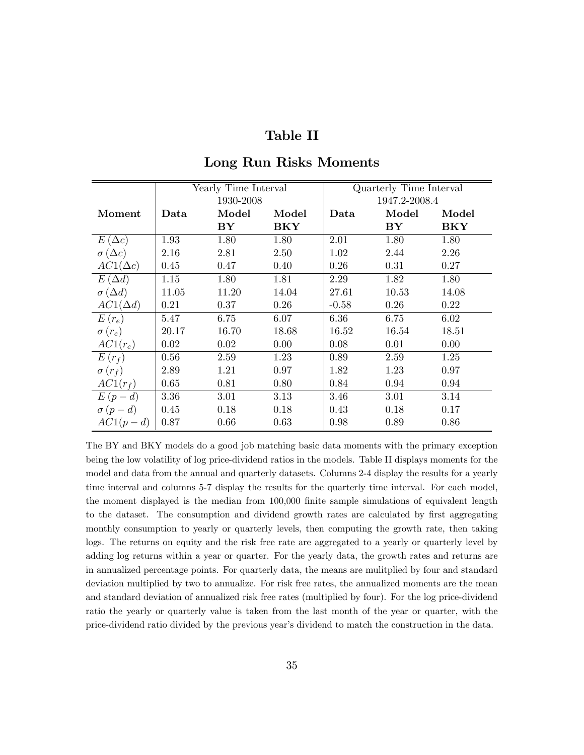### Table II

|                    |       | Yearly Time Interval |            |         | Quarterly Time Interval |       |  |  |
|--------------------|-------|----------------------|------------|---------|-------------------------|-------|--|--|
|                    |       | 1930-2008            |            |         | 1947.2-2008.4           |       |  |  |
| Moment             | Data  | Model                | Model      | Data    | Model                   | Model |  |  |
|                    |       | ${\bf BY}$           | <b>BKY</b> |         | ${\bf BY}$              | BKY   |  |  |
| $E(\Delta c)$      | 1.93  | 1.80                 | 1.80       | 2.01    | 1.80                    | 1.80  |  |  |
| $\sigma(\Delta c)$ | 2.16  | 2.81                 | 2.50       | 1.02    | 2.44                    | 2.26  |  |  |
| $AC1(\Delta c)$    | 0.45  | 0.47                 | 0.40       | 0.26    | 0.31                    | 0.27  |  |  |
| $E(\Delta d)$      | 1.15  | 1.80                 | 1.81       | 2.29    | 1.82                    | 1.80  |  |  |
| $\sigma(\Delta d)$ | 11.05 | 11.20                | 14.04      | 27.61   | 10.53                   | 14.08 |  |  |
| $AC1(\Delta d)$    | 0.21  | 0.37                 | 0.26       | $-0.58$ | 0.26                    | 0.22  |  |  |
| $E(r_e)$           | 5.47  | 6.75                 | 6.07       | 6.36    | 6.75                    | 6.02  |  |  |
| $\sigma(r_e)$      | 20.17 | 16.70                | 18.68      | 16.52   | 16.54                   | 18.51 |  |  |
| $AC1(r_e)$         | 0.02  | 0.02                 | 0.00       | 0.08    | 0.01                    | 0.00  |  |  |
| $E(r_f)$           | 0.56  | 2.59                 | 1.23       | 0.89    | 2.59                    | 1.25  |  |  |
| $\sigma(r_f)$      | 2.89  | 1.21                 | 0.97       | 1.82    | 1.23                    | 0.97  |  |  |
| $AC1(r_f)$         | 0.65  | 0.81                 | 0.80       | 0.84    | 0.94                    | 0.94  |  |  |
| $E(p-d)$           | 3.36  | 3.01                 | 3.13       | 3.46    | 3.01                    | 3.14  |  |  |
| $\sigma(p-d)$      | 0.45  | 0.18                 | 0.18       | 0.43    | 0.18                    | 0.17  |  |  |
| $AC1(p-d)$         | 0.87  | 0.66                 | 0.63       | 0.98    | 0.89                    | 0.86  |  |  |

#### Long Run Risks Moments

The BY and BKY models do a good job matching basic data moments with the primary exception being the low volatility of log price-dividend ratios in the models. Table II displays moments for the model and data from the annual and quarterly datasets. Columns 2-4 display the results for a yearly time interval and columns 5-7 display the results for the quarterly time interval. For each model, the moment displayed is the median from 100,000 finite sample simulations of equivalent length to the dataset. The consumption and dividend growth rates are calculated by first aggregating monthly consumption to yearly or quarterly levels, then computing the growth rate, then taking logs. The returns on equity and the risk free rate are aggregated to a yearly or quarterly level by adding log returns within a year or quarter. For the yearly data, the growth rates and returns are in annualized percentage points. For quarterly data, the means are mulitplied by four and standard deviation multiplied by two to annualize. For risk free rates, the annualized moments are the mean and standard deviation of annualized risk free rates (multiplied by four). For the log price-dividend ratio the yearly or quarterly value is taken from the last month of the year or quarter, with the price-dividend ratio divided by the previous yearís dividend to match the construction in the data.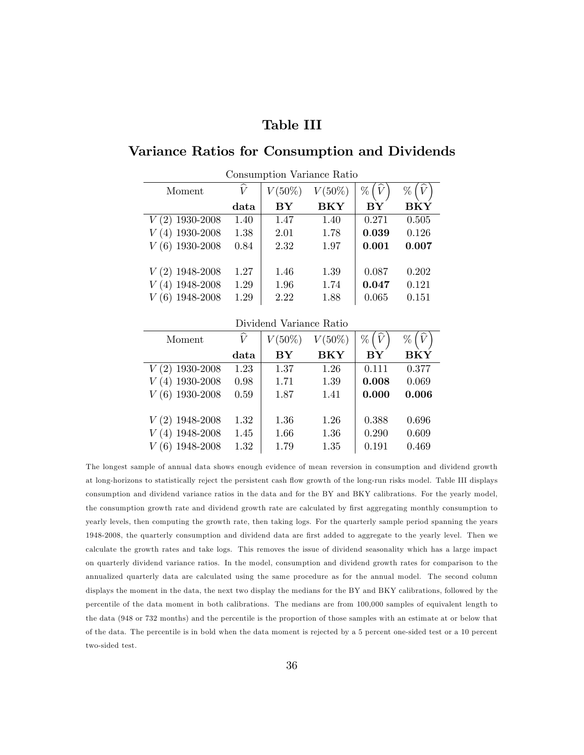### Table III

### Variance Ratios for Consumption and Dividends

| Moment           | ∼<br>$\overline{V}$ | $V(50\%)$         | $V(50\%)$ | $\hat{V}$<br>% | $(\widehat{V})$<br>% |
|------------------|---------------------|-------------------|-----------|----------------|----------------------|
|                  | data                | ${\bf B} {\bf Y}$ | BKY       | BY             | <b>BKY</b>           |
| $V(2)$ 1930-2008 | 1.40                | 1.47              | 1.40      | 0.271          | 0.505                |
| $(4)$ 1930-2008  | 1.38                | 2.01              | 1.78      | 0.039          | 0.126                |
| $V(6)$ 1930-2008 | 0.84                | 2.32              | 1.97      | 0.001          | 0.007                |
|                  |                     |                   |           |                |                      |
| $V(2)$ 1948-2008 | 1.27                | 1.46              | 1.39      | 0.087          | 0.202                |
| $(4)$ 1948-2008  | 1.29                | 1.96              | 1.74      | 0.047          | 0.121                |
| 1948-2008        | 1.29                | 2.22              | 1.88      | 0.065          | 0.151                |

Consumption Variance Ratio

#### Dividend Variance Ratio

| Moment           | $\widehat{V}$ | $V(50\%)$ | $V(50\%)$ | $\widehat{V}$<br>$\%$ | %     |
|------------------|---------------|-----------|-----------|-----------------------|-------|
|                  | data          | BY        | BKY       | BY                    | BKY   |
| $V(2)$ 1930-2008 | 1.23          | 1.37      | 1.26      | 0.111                 | 0.377 |
| $V(4)$ 1930-2008 | 0.98          | 1.71      | 1.39      | 0.008                 | 0.069 |
| $V(6)$ 1930-2008 | 0.59          | 1.87      | 1.41      | 0.000                 | 0.006 |
|                  |               |           |           |                       |       |
| $V(2)$ 1948-2008 | 1.32          | 1.36      | 1.26      | 0.388                 | 0.696 |
| $V(4)$ 1948-2008 | 1.45          | 1.66      | 1.36      | 0.290                 | 0.609 |
| $(6)$ 1948-2008  | 1.32          | 1.79      | 1.35      | 0.191                 | 0.469 |

The longest sample of annual data shows enough evidence of mean reversion in consumption and dividend growth at long-horizons to statistically reject the persistent cash flow growth of the long-run risks model. Table III displays consumption and dividend variance ratios in the data and for the BY and BKY calibrations. For the yearly model, the consumption growth rate and dividend growth rate are calculated by first aggregating monthly consumption to yearly levels, then computing the growth rate, then taking logs. For the quarterly sample period spanning the years 1948-2008, the quarterly consumption and dividend data are first added to aggregate to the yearly level. Then we calculate the growth rates and take logs. This removes the issue of dividend seasonality which has a large impact on quarterly dividend variance ratios. In the model, consumption and dividend growth rates for comparison to the annualized quarterly data are calculated using the same procedure as for the annual model. The second column displays the moment in the data, the next two display the medians for the BY and BKY calibrations, followed by the percentile of the data moment in both calibrations. The medians are from 100,000 samples of equivalent length to the data (948 or 732 months) and the percentile is the proportion of those samples with an estimate at or below that of the data. The percentile is in bold when the data moment is rejected by a 5 percent one-sided test or a 10 percent two-sided test.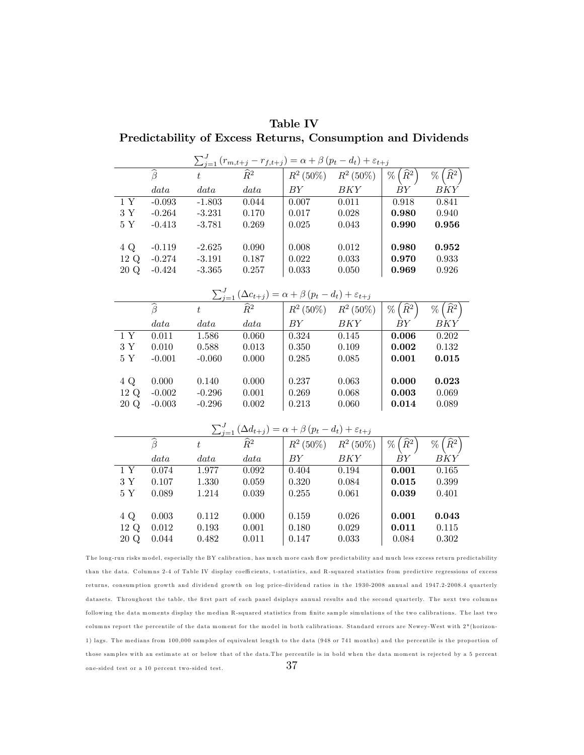|                                                             | Table IV |  |  |
|-------------------------------------------------------------|----------|--|--|
| Predictability of Excess Returns, Consumption and Dividends |          |  |  |

| $\sum_{j=1}^{J} (r_{m,t+j} - r_{f,t+j}) = \alpha + \beta (p_t - d_t) + \varepsilon_{t+j}$ |                              |           |                 |                                                                                                                                  |             |                                   |                                   |  |  |
|-------------------------------------------------------------------------------------------|------------------------------|-----------|-----------------|----------------------------------------------------------------------------------------------------------------------------------|-------------|-----------------------------------|-----------------------------------|--|--|
|                                                                                           | $\widehat{\beta}$            | $t_{i}$   | $\widehat{R}^2$ | $R^2$ (50%)                                                                                                                      | $R^2(50\%)$ | $\% \left( \widehat{R}^2 \right)$ | $\%$ ( $\widehat{R}^2$            |  |  |
|                                                                                           | data                         | data      | data            | BY                                                                                                                               | BKY         | BY                                | BKY                               |  |  |
| 1Y                                                                                        | $-0.093$                     | $-1.803$  | 0.044           | 0.007                                                                                                                            | 0.011       | 0.918                             | 0.841                             |  |  |
| $3\ \mathrm{Y}$                                                                           | $-0.264$                     | $-3.231$  | 0.170           | 0.017                                                                                                                            | 0.028       | 0.980                             | 0.940                             |  |  |
| 5Y                                                                                        | $-0.413$                     | $-3.781$  | 0.269           | 0.025                                                                                                                            | 0.043       | 0.990                             | 0.956                             |  |  |
|                                                                                           |                              |           |                 |                                                                                                                                  |             |                                   |                                   |  |  |
| 4 Q                                                                                       | $-0.119$                     | $-2.625$  | 0.090           | 0.008                                                                                                                            | 0.012       | 0.980                             | 0.952                             |  |  |
| 12 Q                                                                                      | $-0.274$                     | $-3.191$  | 0.187           | 0.022                                                                                                                            | 0.033       | 0.970                             | 0.933                             |  |  |
| 20 Q                                                                                      | $-0.424$                     | $-3.365$  | 0.257           | 0.033                                                                                                                            | 0.050       | 0.969                             | 0.926                             |  |  |
|                                                                                           |                              |           |                 |                                                                                                                                  |             |                                   |                                   |  |  |
|                                                                                           |                              |           |                 | $\frac{\sum_{j=1}^{J} (\Delta c_{t+j}) = \alpha + \beta (p_t - d_t) + \varepsilon_{t+j}}{\widehat{R}^2}$ $R^2 (50\%) R^2 (50\%)$ |             |                                   |                                   |  |  |
|                                                                                           | $\widehat{\beta}$            | $\bar{t}$ |                 |                                                                                                                                  |             | $\%$ $(\widehat{R}^2)$            | $\widehat{R}^2$<br>%              |  |  |
|                                                                                           | data                         | data      | data            | BY                                                                                                                               | BKY         | BY                                | BKY                               |  |  |
| $\overline{1Y}$                                                                           | 0.011                        | 1.586     | 0.060           | 0.324                                                                                                                            | 0.145       | 0.006                             | 0.202                             |  |  |
| 3Y                                                                                        | 0.010                        | 0.588     | 0.013           | 0.350                                                                                                                            | 0.109       | 0.002                             | 0.132                             |  |  |
| $5\ \mathrm{Y}$                                                                           | $-0.001$                     | $-0.060$  | 0.000           | 0.285                                                                                                                            | 0.085       | 0.001                             | 0.015                             |  |  |
|                                                                                           |                              |           |                 |                                                                                                                                  |             |                                   |                                   |  |  |
| 4 Q                                                                                       | 0.000                        | 0.140     | 0.000           | 0.237                                                                                                                            | 0.063       | 0.000                             | 0.023                             |  |  |
| 12 Q                                                                                      | $-0.002$                     | $-0.296$  | 0.001           | 0.269                                                                                                                            | 0.068       | 0.003                             | 0.069                             |  |  |
| 20 Q                                                                                      | $-0.003$                     | $-0.296$  | 0.002           | 0.213                                                                                                                            | 0.060       | 0.014                             | 0.089                             |  |  |
|                                                                                           |                              |           |                 |                                                                                                                                  |             |                                   |                                   |  |  |
|                                                                                           |                              |           |                 |                                                                                                                                  |             |                                   |                                   |  |  |
|                                                                                           | $\overline{\widehat{\beta}}$ | $\bar{t}$ |                 | $\frac{\sum_{j=1}^{J} (\Delta d_{t+j}) = \alpha + \beta (p_t - d_t) + \varepsilon_{t+j}}{\widehat{R}^2}$ $R^2 (50\%) R^2 (50\%)$ |             | $\% \left( \widehat{R}^2 \right)$ | $\% \left( \widehat{R}^2 \right)$ |  |  |
|                                                                                           | data                         | data      | data            | BY                                                                                                                               | <b>BKY</b>  | BY                                | BKY                               |  |  |
| 1Y                                                                                        | 0.074                        | 1.977     | 0.092           | 0.404                                                                                                                            | 0.194       | 0.001                             | 0.165                             |  |  |
| $3\ \mathrm{Y}$                                                                           | 0.107                        | 1.330     | 0.059           | 0.320                                                                                                                            | 0.084       | 0.015                             | 0.399                             |  |  |
| $5Y$                                                                                      | 0.089                        | 1.214     | 0.039           | 0.255                                                                                                                            | 0.061       | 0.039                             | 0.401                             |  |  |
|                                                                                           |                              |           |                 |                                                                                                                                  |             |                                   |                                   |  |  |
| 4 Q                                                                                       | 0.003                        | 0.112     | 0.000           | 0.159                                                                                                                            | 0.026       | 0.001                             | 0.043                             |  |  |
| 12 Q                                                                                      | 0.012                        | 0.193     | 0.001           | 0.180                                                                                                                            | 0.029       | 0.011                             | 0.115                             |  |  |
| 20 Q                                                                                      | 0.044                        | 0.482     | 0.011           | 0.147                                                                                                                            | 0.033       | 0.084                             | 0.302                             |  |  |

The long-run risks model, especially the BY calibration, has much more cash flow predictability and much less excess return predictability than the data. Columns 2-4 of Table IV display coefficients, t-statistics, and R-squared statistics from predictive regressions of excess returns, consumption growth and dividend growth on log price-dividend ratios in the 1930-2008 annual and 1947.2-2008.4 quarterly datasets. Throughout the table, the first part of each panel dsiplays annual results and the second quarterly. The next two columns following the data moments display the median R-squared statistics from finite sample simulations of the two calibrations. The last two columns report the percentile of the data moment for the model in both calibrations. Standard errors are Newey-West with 2\* (horizon-1) lags. The medians from 100,000 samples of equivalent length to the data (948 or 741 months) and the percentile is the proportion of those samples with an estimate at or below that of the data.The percentile is in bold when the data moment is rejected by a 5 percent one-sided test or a 10 percent two-sided test.  $37$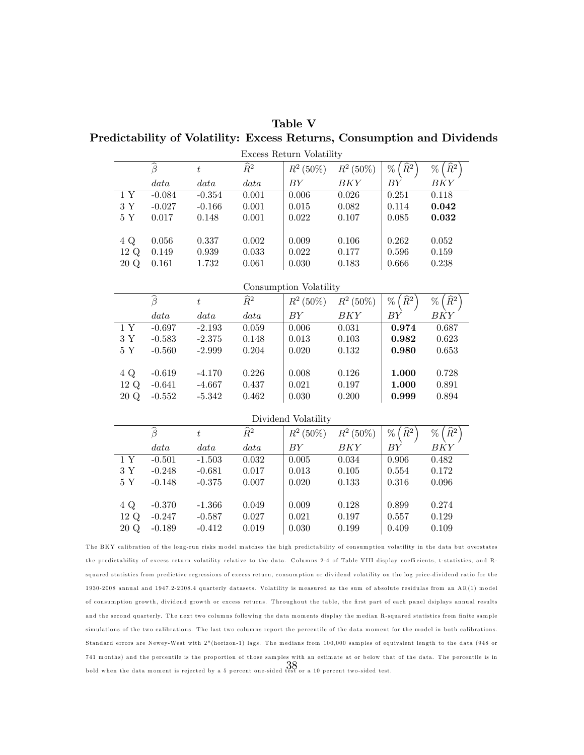Table V Predictability of Volatility: Excess Returns, Consumption and Dividends

|                 | Excess Return Volatility     |                  |                 |                        |             |                                   |                         |  |
|-----------------|------------------------------|------------------|-----------------|------------------------|-------------|-----------------------------------|-------------------------|--|
|                 | $\widehat{\beta}$            | t                | $\widehat{R}^2$ | $R^2(50\%)$            | $R^2(50\%)$ | $\left(\widehat{R}^2\right)$<br>% | $\%$ ( $\widehat{R}^2$  |  |
|                 | data                         | data             | data            | BY                     | <b>BKY</b>  | BY                                | BKY                     |  |
| 1Y              | $-0.084$                     | $-0.354$         | 0.001           | 0.006                  | 0.026       | 0.251                             | 0.118                   |  |
| $3\ \mathrm{Y}$ | $-0.027$                     | $-0.166$         | 0.001           | 0.015                  | 0.082       | 0.114                             | 0.042                   |  |
| $5~\mathrm{Y}$  | 0.017                        | 0.148            | $0.001\,$       | 0.022                  | 0.107       | 0.085                             | 0.032                   |  |
|                 |                              |                  |                 |                        |             |                                   |                         |  |
| 4 Q             | 0.056                        | 0.337            | 0.002           | 0.009                  | 0.106       | 0.262                             | 0.052                   |  |
| 12 Q            | 0.149                        | 0.939            | 0.033           | 0.022                  | 0.177       | 0.596                             | 0.159                   |  |
| 20 Q            | 0.161                        | 1.732            | 0.061           | 0.030                  | 0.183       | 0.666                             | 0.238                   |  |
|                 |                              |                  |                 |                        |             |                                   |                         |  |
|                 |                              |                  |                 | Consumption Volatility |             |                                   |                         |  |
|                 | $\overline{\widehat{\beta}}$ | $\boldsymbol{t}$ | $\widehat{R}^2$ | $R^2(50\%)$            | $R^2(50\%)$ | $\widehat{R}^2$<br>$\%$           | $\widehat{R}^2$<br>$\%$ |  |
|                 | data                         | data             | data            | BY                     | BKY         | ΒY                                | BKY                     |  |
| $\overline{1Y}$ | $-0.697$                     | $-2.193$         | 0.059           | 0.006                  | 0.031       | 0.974                             | 0.687                   |  |
| $3\ \mathrm{Y}$ | $-0.583$                     | $-2.375$         | 0.148           | 0.013                  | $0.103\,$   | 0.982                             | 0.623                   |  |
| $5\ \mathrm{Y}$ | $-0.560$                     | $-2.999$         | 0.204           | 0.020                  | 0.132       | 0.980                             | 0.653                   |  |
|                 |                              |                  |                 |                        |             |                                   |                         |  |
| 4 Q             | $-0.619$                     | $-4.170$         | 0.226           | 0.008                  | 0.126       | 1.000                             | 0.728                   |  |
| 12 Q            | $-0.641$                     | $-4.667$         | 0.437           | 0.021                  | 0.197       | 1.000                             | 0.891                   |  |
| 20 Q            | $-0.552$                     | $-5.342$         | 0.462           | 0.030                  | 0.200       | 0.999                             | 0.894                   |  |
|                 |                              |                  |                 | Dividend Volatility    |             |                                   |                         |  |
|                 | $\overline{\hat{\beta}}$     |                  | $\widehat{R}^2$ |                        |             |                                   |                         |  |
|                 |                              | $\boldsymbol{t}$ |                 | $R^2(50\%)$            | $R^2(50\%)$ | $\big(\,\widehat{R}^2$<br>%       | $\%$ ( $\widehat{R}^2$  |  |
|                 | data                         | data             | data            | BY                     | BKY         | BY                                | <b>BKY</b>              |  |
| 1Y              | $-0.501$                     | $-1.503$         | 0.032           | 0.005                  | 0.034       | 0.906                             | 0.482                   |  |
| $3\ \mathrm{Y}$ | $-0.248$                     | $-0.681$         | 0.017           | 0.013                  | $0.105\,$   | 0.554                             | 0.172                   |  |
| $5\ \mathrm{Y}$ | $-0.148$                     | $-0.375$         | 0.007           | 0.020                  | 0.133       | 0.316                             | 0.096                   |  |
|                 |                              |                  |                 |                        |             |                                   |                         |  |
| 4 Q             | $-0.370$                     | $-1.366$         | 0.049           | 0.009                  | 0.128       | 0.899                             | 0.274                   |  |
| 12 Q            | $-0.247$                     | $-0.587$         | 0.027           | 0.021                  | 0.197       | 0.557                             | 0.129                   |  |
| 20 Q            | $-0.189$                     | $-0.412$         | 0.019           | 0.030                  | 0.199       | 0.409                             | 0.109                   |  |

The BKY calibration of the long-run risks model matches the high predictability of consumption volatility in the data but overstates the predictability of excess return volatility relative to the data. Columns 2-4 of Table VIII display coefficients, t-statistics, and Rsquared statistics from predictive regressions of excess return, consumption or dividend volatility on the log price-dividend ratio for the 1930-2008 annual and 1947.2-2008.4 quarterly datasets. Volatility is measured as the sum of absolute residulas from an AR(1) model of consumption growth, dividend growth or excess returns. Throughout the table, the first part of each panel dsiplays annual results and the second quarterly. The next two columns following the data moments display the median R-squared statistics from finite sample simulations of the two calibrations. The last two columns report the percentile of the data moment for the model in both calibrations. Standard errors are Newey-West with  $2*(\text{horizon-1})$  lags. The medians from 100,000 samples of equivalent length to the data (948 or 741 months) and the percentile is the proportion of those samples with an estimate at or below that of the data. The percentile is in bold when the data moment is rejected by a 5 percent one-sided test or a 10 percent two-sided test.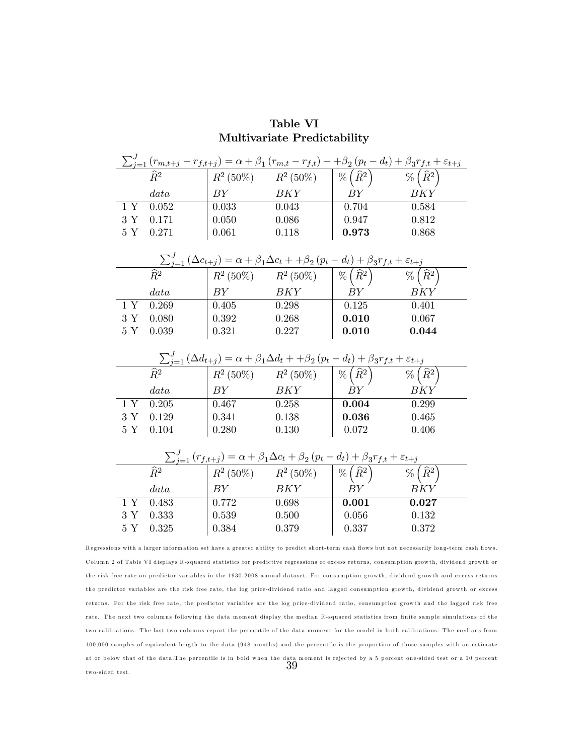|                 |                            |       |       | $\mathscr{C}\left(\widehat{R}^2\right)$                                                                                                                                                                                                                                                                                                                                           | $\frac{\sum_{j=1}^{J}\left(r_{m,t+j}-r_{f,t+j}\right)=\alpha+\beta_{1}\left(r_{m,t}-r_{f,t}\right)+\beta_{2}\left(p_{t}-d_{t}\right)+\beta_{3}r_{f,t}+\varepsilon_{t+j}}{\hat{R}^{2}}$ |
|-----------------|----------------------------|-------|-------|-----------------------------------------------------------------------------------------------------------------------------------------------------------------------------------------------------------------------------------------------------------------------------------------------------------------------------------------------------------------------------------|----------------------------------------------------------------------------------------------------------------------------------------------------------------------------------------|
|                 | data                       | BY    | BKY   | BY                                                                                                                                                                                                                                                                                                                                                                                | BKY                                                                                                                                                                                    |
| 1Y              | 0.052                      | 0.033 | 0.043 | 0.704                                                                                                                                                                                                                                                                                                                                                                             | 0.584                                                                                                                                                                                  |
| 3Y              | 0.171                      | 0.050 | 0.086 | 0.947                                                                                                                                                                                                                                                                                                                                                                             | 0.812                                                                                                                                                                                  |
| 5Y              | 0.271                      | 0.061 | 0.118 | 0.973                                                                                                                                                                                                                                                                                                                                                                             | 0.868                                                                                                                                                                                  |
|                 |                            |       |       |                                                                                                                                                                                                                                                                                                                                                                                   |                                                                                                                                                                                        |
|                 |                            |       |       |                                                                                                                                                                                                                                                                                                                                                                                   |                                                                                                                                                                                        |
|                 |                            |       |       | $\begin{array}{c c c} \hline \sum_{j=1}^{J} \left(\Delta c_{t+j}\right)=\alpha+\beta_1\Delta c_t++\beta_2\left(p_t-d_t\right)+\beta_3 r_{f,t}+\varepsilon_{t+j} \\\hline \widehat{R}^2 & R^2\left(50\%\right) & R^2\left(50\%\right) & \%\left(\widehat{R}^2\right) & \%\left(\widehat{R}^2\right) \end{array}$                                                                   |                                                                                                                                                                                        |
|                 | data                       | BY    | BKY   | BY                                                                                                                                                                                                                                                                                                                                                                                | BKY                                                                                                                                                                                    |
| 1Y              | 0.269                      | 0.405 | 0.298 | 0.125                                                                                                                                                                                                                                                                                                                                                                             | 0.401                                                                                                                                                                                  |
| $3\ \mathrm{Y}$ | 0.080                      | 0.392 | 0.268 | 0.010                                                                                                                                                                                                                                                                                                                                                                             | 0.067                                                                                                                                                                                  |
| $5Y$            | 0.039                      | 0.321 | 0.227 | 0.010                                                                                                                                                                                                                                                                                                                                                                             | 0.044                                                                                                                                                                                  |
|                 |                            |       |       |                                                                                                                                                                                                                                                                                                                                                                                   |                                                                                                                                                                                        |
|                 |                            |       |       |                                                                                                                                                                                                                                                                                                                                                                                   |                                                                                                                                                                                        |
|                 |                            |       |       |                                                                                                                                                                                                                                                                                                                                                                                   |                                                                                                                                                                                        |
|                 |                            |       |       | $\frac{\sum_{j=1}^{J}\left(\Delta d_{t+j}\right)=\alpha+\beta_1\Delta d_t++\beta_2\left(p_t-d_t\right)+\beta_3r_{f,t}+\varepsilon_{t+j}}{R^2\left(50\%\right)}\frac{\left(R^2\left(50\%\right)\right)}{R^2\left(50\%\right)}\frac{\left(p_t-d_t\right)+\beta_3r_{f,t}+\varepsilon_{t+j}}{\left(\widehat{R}^2\right)}$<br>$\boxed{\% \left( \widehat{R}^{2}\right) }$              | $\frac{1}{\sqrt[3]{6}}$ $\frac{1}{\sqrt[3]{6}}$                                                                                                                                        |
|                 | data                       | BY    | BKY   | ${\cal B}Y$                                                                                                                                                                                                                                                                                                                                                                       | BKY                                                                                                                                                                                    |
| 1 Y             | 0.205                      | 0.467 | 0.258 | 0.004                                                                                                                                                                                                                                                                                                                                                                             | 0.299                                                                                                                                                                                  |
| 3Y              | 0.129                      | 0.341 | 0.138 | 0.036                                                                                                                                                                                                                                                                                                                                                                             | 0.465                                                                                                                                                                                  |
| $5\ \mathrm{Y}$ | 0.104                      | 0.280 | 0.130 | 0.072                                                                                                                                                                                                                                                                                                                                                                             | 0.406                                                                                                                                                                                  |
|                 |                            |       |       |                                                                                                                                                                                                                                                                                                                                                                                   |                                                                                                                                                                                        |
|                 |                            |       |       |                                                                                                                                                                                                                                                                                                                                                                                   |                                                                                                                                                                                        |
|                 | $\overline{\widehat{R}^2}$ |       |       |                                                                                                                                                                                                                                                                                                                                                                                   | $\% \left( \widehat{R}^2 \right)$                                                                                                                                                      |
|                 | data                       | BY    | BKY   | $\frac{\sum_{j=1}^{J}\left(r_{f,t+j}\right)=\alpha+\beta_{1}\Delta c_{t}+\beta_{2}\left(p_{t}-d_{t}\right)+\beta_{3}r_{f,t}+\varepsilon_{t+j}}{\left R^{2}\left(50\%\right)\right  R^{2}\left(50\%\right)\left \right \frac{\varphi_{0}\left(\widehat{R}^{2}\right)}{\varphi_{0}\left(\widehat{R}^{2}\right)}\qquad\frac{\varphi_{0}}{\sqrt{\frac{\varphi_{0}}{n}}}\right $<br>BY | BKY                                                                                                                                                                                    |
| 1Y              | 0.483                      | 0.772 | 0.698 | 0.001                                                                                                                                                                                                                                                                                                                                                                             | 0.027                                                                                                                                                                                  |
| $3\ \mathrm{Y}$ | 0.333                      | 0.539 | 0.500 | 0.056                                                                                                                                                                                                                                                                                                                                                                             | 0.132                                                                                                                                                                                  |

### Table VI Multivariate Predictability

Regressions with a larger information set have a greater ability to predict short-term cash flows but not necessarily long-term cash flows. Column 2 of Table VI displays R-squared statistics for predictive regressions of excess returns, consumption growth, dividend growth or the risk free rate on predictor variables in the 1930-2008 annual dataset. For consumption growth, dividend growth and excess returns the predictor variables are the risk free rate, the log price-dividend ratio and lagged consumption growth, dividend growth or excess returns. For the risk free rate, the predictor variables are the log price-dividend ratio, consumption growth and the lagged risk free rate. The next two columns following the data moment display the median R-squared statistics from finite sample simulations of the two calibrations. The last two columns report the percentile of the data moment for the model in both calibrations. The medians from 100,000 samples of equivalent length to the data (948 months) and the percentile is the proportion of those samples with an estimate at or below that of the data.The percentile is in bold when the data moment is rejected by a 5 percent one-sided test or a 10 percent  $39$ two-sided test.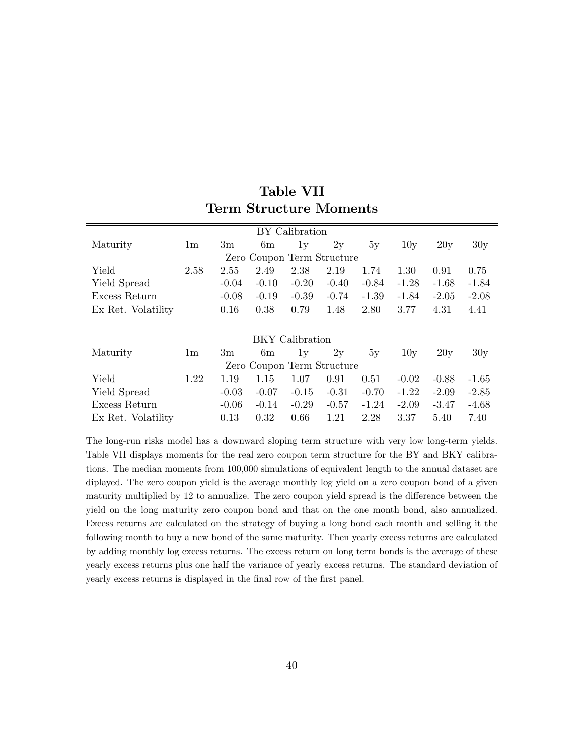| BY Calibration             |                |               |                            |                        |         |         |         |         |         |  |
|----------------------------|----------------|---------------|----------------------------|------------------------|---------|---------|---------|---------|---------|--|
| Maturity                   | 1 <sub>m</sub> | 3m            | 6m                         | 1y                     | 2y      | 5y      | 10y     | 20y     | 30y     |  |
| Zero Coupon Term Structure |                |               |                            |                        |         |         |         |         |         |  |
| Yield                      | 2.58           | 2.55          | 2.49                       | 2.38                   | 2.19    | 1.74    | 1.30    | 0.91    | 0.75    |  |
| Yield Spread               |                | $-0.04$       | $-0.10$                    | $-0.20$                | $-0.40$ | $-0.84$ | $-1.28$ | $-1.68$ | $-1.84$ |  |
| Excess Return              |                | $-0.08$       | $-0.19$                    | $-0.39$                | $-0.74$ | $-1.39$ | $-1.84$ | $-2.05$ | $-2.08$ |  |
| Ex Ret. Volatility         |                | 0.16          | 0.38                       | 0.79                   | 1.48    | 2.80    | 3.77    | 4.31    | 4.41    |  |
|                            |                |               |                            |                        |         |         |         |         |         |  |
|                            |                |               |                            | <b>BKY</b> Calibration |         |         |         |         |         |  |
| Maturity                   | 1 <sub>m</sub> | $3\mathrm{m}$ | 6m                         | 1v                     | 2y      | 5y      | 10y     | 20y     | 30y     |  |
|                            |                |               | Zero Coupon Term Structure |                        |         |         |         |         |         |  |
| Yield                      | 1.22           | 1.19          | 1.15                       | 1.07                   | 0.91    | 0.51    | $-0.02$ | $-0.88$ | $-1.65$ |  |
| Yield Spread               |                | $-0.03$       | $-0.07$                    | $-0.15$                | $-0.31$ | $-0.70$ | $-1.22$ | $-2.09$ | $-2.85$ |  |
| Excess Return              |                | $-0.06$       | $-0.14$                    | $-0.29$                | $-0.57$ | $-1.24$ | $-2.09$ | $-3.47$ | $-4.68$ |  |
| Ex Ret. Volatility         |                | 0.13          | 0.32                       | 0.66                   | 1.21    | 2.28    | 3.37    | 5.40    | 7.40    |  |

### Table VII Term Structure Moments

The long-run risks model has a downward sloping term structure with very low long-term yields. Table VII displays moments for the real zero coupon term structure for the BY and BKY calibrations. The median moments from 100,000 simulations of equivalent length to the annual dataset are diplayed. The zero coupon yield is the average monthly log yield on a zero coupon bond of a given maturity multiplied by 12 to annualize. The zero coupon yield spread is the difference between the yield on the long maturity zero coupon bond and that on the one month bond, also annualized. Excess returns are calculated on the strategy of buying a long bond each month and selling it the following month to buy a new bond of the same maturity. Then yearly excess returns are calculated by adding monthly log excess returns. The excess return on long term bonds is the average of these yearly excess returns plus one half the variance of yearly excess returns. The standard deviation of yearly excess returns is displayed in the final row of the first panel.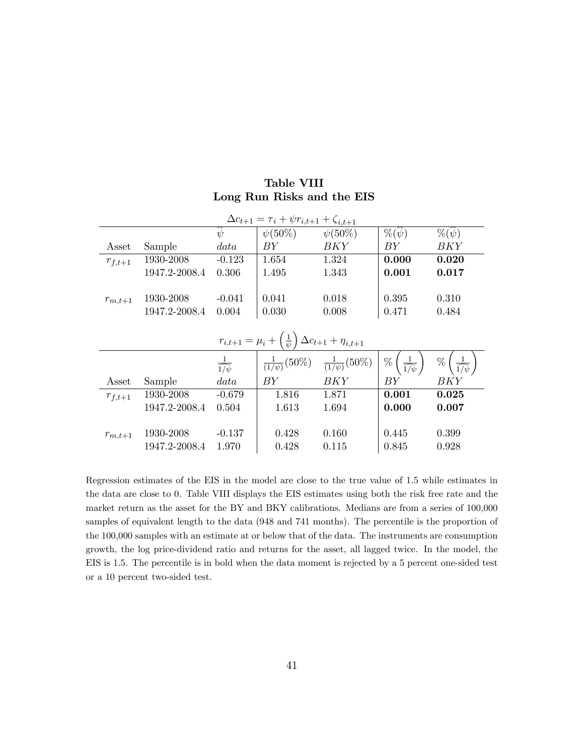| <b>Table VIII</b>          |  |
|----------------------------|--|
| Long Run Risks and the EIS |  |

| $\Delta c_{t+1} = \tau_i + \psi r_{i,t+1} + \zeta_{i,t+1}$ |               |                              |                                                                                 |                                                       |                         |                                     |  |  |  |
|------------------------------------------------------------|---------------|------------------------------|---------------------------------------------------------------------------------|-------------------------------------------------------|-------------------------|-------------------------------------|--|--|--|
|                                                            |               | $\psi$                       | $\psi(50\%)$                                                                    | $\psi(50\%)$                                          | $\%(\psi)$              | $\%(\psi)$                          |  |  |  |
| Asset                                                      | Sample        | data                         | BY                                                                              | BKY                                                   | BY                      | BKY                                 |  |  |  |
| $r_{f,t+1}$                                                | 1930-2008     | $-0.123$                     | 1.654                                                                           | 1.324                                                 | 0.000                   | 0.020                               |  |  |  |
|                                                            | 1947.2-2008.4 | 0.306                        | 1.495                                                                           | 1.343                                                 | 0.001                   | 0.017                               |  |  |  |
|                                                            |               |                              |                                                                                 |                                                       |                         |                                     |  |  |  |
| $r_{m,t+1}$                                                | 1930-2008     | $-0.041$                     | 0.041                                                                           | 0.018                                                 | 0.395                   | 0.310                               |  |  |  |
|                                                            | 1947.2-2008.4 | 0.004                        | 0.030                                                                           | 0.008                                                 | 0.471                   | 0.484                               |  |  |  |
|                                                            |               |                              |                                                                                 |                                                       |                         |                                     |  |  |  |
|                                                            |               |                              | $r_{i,t+1} = \mu_i + \left(\frac{1}{\psi}\right) \Delta c_{t+1} + \eta_{i,t+1}$ |                                                       |                         |                                     |  |  |  |
|                                                            |               | $\frac{1}{\widehat{1/\psi}}$ |                                                                                 | $\frac{1}{(1/\psi)}(50\%) - \frac{1}{(1/\psi)}(50\%)$ | $\frac{1}{1/\psi}$<br>% | $\frac{1}{\widehat{1/\psi}}$ ,<br>% |  |  |  |
| Asset                                                      | Sample        | data                         | BY                                                                              | BKY                                                   | BY                      | BKY                                 |  |  |  |
| $r_{f,t+1}$                                                | 1930-2008     | $-0.679$                     | 1.816                                                                           | 1.871                                                 | 0.001                   | 0.025                               |  |  |  |
|                                                            | 1947.2-2008.4 | 0.504                        | 1.613                                                                           | 1.694                                                 | 0.000                   | 0.007                               |  |  |  |
|                                                            |               |                              |                                                                                 |                                                       |                         |                                     |  |  |  |
| $r_{m,t+1}$                                                | 1930-2008     | $-0.137$                     | 0.428                                                                           | 0.160                                                 | 0.445                   | 0.399                               |  |  |  |
|                                                            | 1947.2-2008.4 | 1.970                        | 0.428                                                                           | 0.115                                                 | 0.845                   | 0.928                               |  |  |  |

Regression estimates of the EIS in the model are close to the true value of 1.5 while estimates in the data are close to 0. Table VIII displays the EIS estimates using both the risk free rate and the market return as the asset for the BY and BKY calibrations. Medians are from a series of 100,000 samples of equivalent length to the data (948 and 741 months). The percentile is the proportion of the 100,000 samples with an estimate at or below that of the data. The instruments are consumption growth, the log price-dividend ratio and returns for the asset, all lagged twice. In the model, the EIS is 1.5. The percentile is in bold when the data moment is rejected by a 5 percent one-sided test or a 10 percent two-sided test.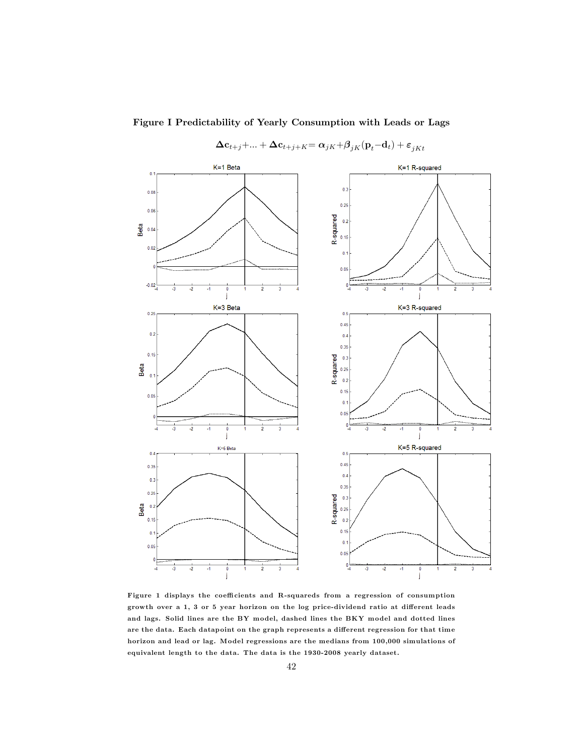

Figure I Predictability of Yearly Consumption with Leads or Lags

 $\Delta \mathbf{c}_{t+j} + \ldots + \Delta \mathbf{c}_{t+j+K} = \alpha_{jK} + \beta_{jK}(\mathbf{p}_t - \mathbf{d}_t) + \varepsilon_{jKt}$ 

Figure 1 displays the coefficients and R-squareds from a regression of consumption growth over a 1, 3 or 5 year horizon on the log price-dividend ratio at different leads and lags. Solid lines are the BY model, dashed lines the BKY model and dotted lines are the data. Each datapoint on the graph represents a different regression for that time horizon and lead or lag. Model regressions are the medians from 100,000 simulations of equivalent length to the data. The data is the 1930-2008 yearly dataset.